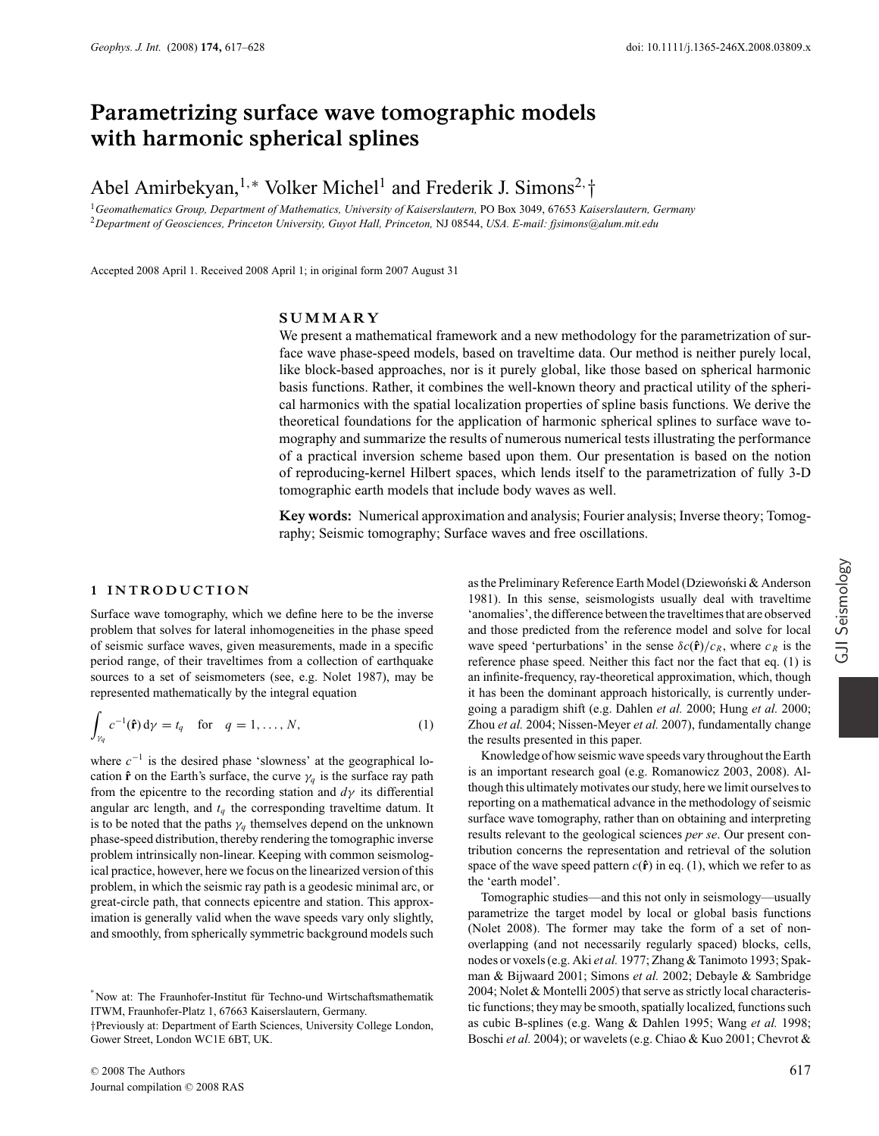# **Parametrizing surface wave tomographic models with harmonic spherical splines**

# Abel Amirbekyan,<sup>1,∗</sup> Volker Michel<sup>1</sup> and Frederik J. Simons<sup>2,</sup>†

† <sup>1</sup>*Geomathematics Group, Department of Mathematics, University of Kaiserslautern,* PO Box 3049, 67653 *Kaiserslautern, Germany* <sup>2</sup>*Department of Geosciences, Princeton University, Guyot Hall, Princeton,* NJ 08544, *USA. E-mail: fjsimons@alum.mit.edu*

Accepted 2008 April 1. Received 2008 April 1; in original form 2007 August 31

# **SUMMARY**

We present a mathematical framework and a new methodology for the parametrization of surface wave phase-speed models, based on traveltime data. Our method is neither purely local, like block-based approaches, nor is it purely global, like those based on spherical harmonic basis functions. Rather, it combines the well-known theory and practical utility of the spherical harmonics with the spatial localization properties of spline basis functions. We derive the theoretical foundations for the application of harmonic spherical splines to surface wave tomography and summarize the results of numerous numerical tests illustrating the performance of a practical inversion scheme based upon them. Our presentation is based on the notion of reproducing-kernel Hilbert spaces, which lends itself to the parametrization of fully 3-D tomographic earth models that include body waves as well.

**Key words:** Numerical approximation and analysis; Fourier analysis; Inverse theory; Tomography; Seismic tomography; Surface waves and free oscillations.

# **1 INTRODUCTION**

Surface wave tomography, which we define here to be the inverse problem that solves for lateral inhomogeneities in the phase speed of seismic surface waves, given measurements, made in a specific period range, of their traveltimes from a collection of earthquake sources to a set of seismometers (see, e.g. Nolet 1987), may be represented mathematically by the integral equation

$$
\int_{\gamma_q} c^{-1}(\hat{\mathbf{r}}) d\gamma = t_q \quad \text{for} \quad q = 1, \dots, N,
$$
\n(1)

where  $c^{-1}$  is the desired phase 'slowness' at the geographical location  $\hat{\mathbf{r}}$  on the Earth's surface, the curve  $\gamma_a$  is the surface ray path from the epicentre to the recording station and *d*γ its differential angular arc length, and  $t_q$  the corresponding traveltime datum. It is to be noted that the paths  $\gamma_q$  themselves depend on the unknown phase-speed distribution, thereby rendering the tomographic inverse problem intrinsically non-linear. Keeping with common seismological practice, however, here we focus on the linearized version of this problem, in which the seismic ray path is a geodesic minimal arc, or great-circle path, that connects epicentre and station. This approximation is generally valid when the wave speeds vary only slightly, and smoothly, from spherically symmetric background models such

as the Preliminary Reference Earth Model (Dziewoński & Anderson 1981). In this sense, seismologists usually deal with traveltime 'anomalies', the difference between the traveltimes that are observed and those predicted from the reference model and solve for local wave speed 'perturbations' in the sense  $\delta c(\hat{\bf{r}})/c_R$ , where  $c_R$  is the reference phase speed. Neither this fact nor the fact that eq. (1) is an infinite-frequency, ray-theoretical approximation, which, though it has been the dominant approach historically, is currently undergoing a paradigm shift (e.g. Dahlen *et al.* 2000; Hung *et al.* 2000; Zhou *et al.* 2004; Nissen-Meyer *et al.* 2007), fundamentally change the results presented in this paper.

Knowledge of how seismic wave speeds vary throughout the Earth is an important research goal (e.g. Romanowicz 2003, 2008). Although this ultimately motivates our study, here we limit ourselves to reporting on a mathematical advance in the methodology of seismic surface wave tomography, rather than on obtaining and interpreting results relevant to the geological sciences *per se*. Our present contribution concerns the representation and retrieval of the solution space of the wave speed pattern  $c(\hat{\mathbf{r}})$  in eq. (1), which we refer to as the 'earth model'.

Tomographic studies—and this not only in seismology—usually parametrize the target model by local or global basis functions (Nolet 2008). The former may take the form of a set of nonoverlapping (and not necessarily regularly spaced) blocks, cells, nodes or voxels (e.g. Aki *et al.* 1977; Zhang & Tanimoto 1993; Spakman & Bijwaard 2001; Simons *et al.* 2002; Debayle & Sambridge 2004; Nolet & Montelli 2005) that serve as strictly local characteristic functions; they may be smooth, spatially localized, functions such as cubic B-splines (e.g. Wang & Dahlen 1995; Wang *et al.* 1998; Boschi *et al.* 2004); or wavelets (e.g. Chiao & Kuo 2001; Chevrot &

<sup>\*</sup>Now at: The Fraunhofer-Institut für Techno-und Wirtschaftsmathematik ITWM, Fraunhofer-Platz 1, 67663 Kaiserslautern, Germany.

<sup>†</sup>Previously at: Department of Earth Sciences, University College London, Gower Street, London WC1E 6BT, UK.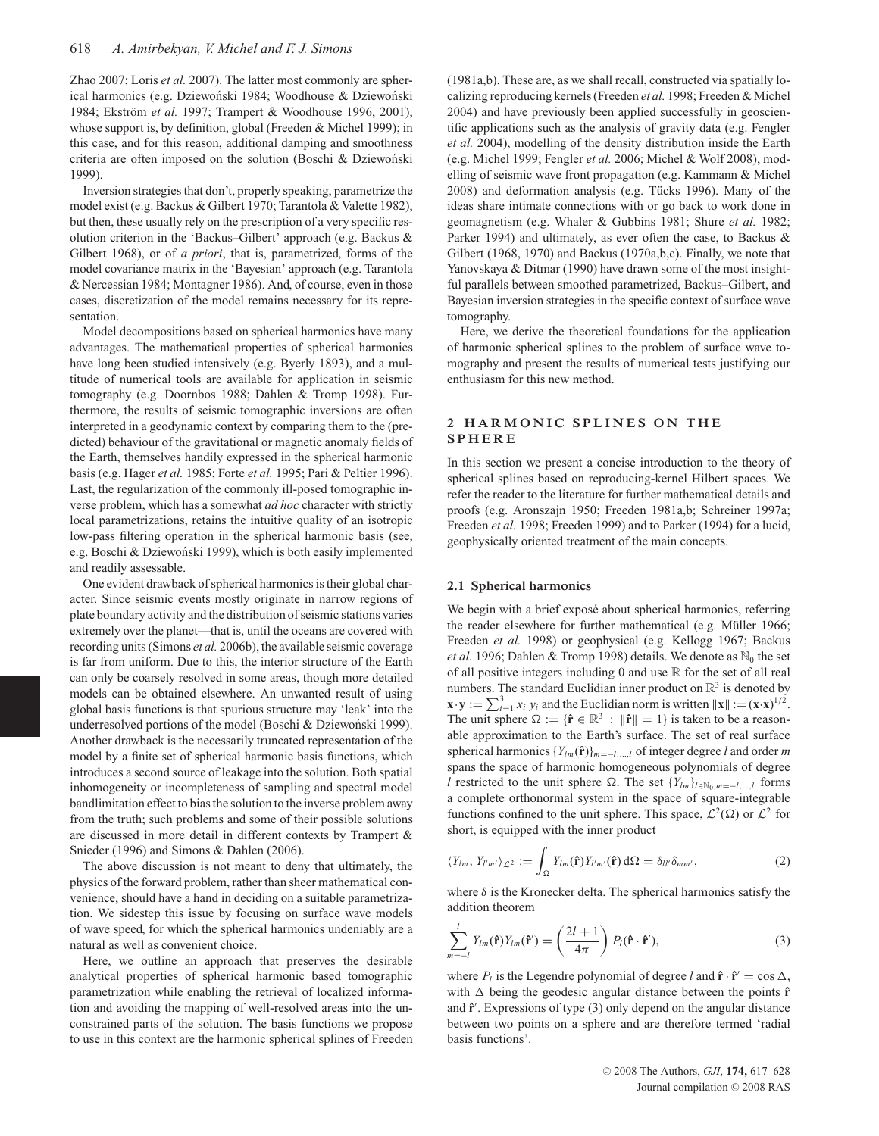Zhao 2007; Loris *et al.* 2007). The latter most commonly are spherical harmonics (e.g. Dziewoński 1984; Woodhouse & Dziewoński 1984; Ekström et al. 1997; Trampert & Woodhouse 1996, 2001), whose support is, by definition, global (Freeden & Michel 1999); in this case, and for this reason, additional damping and smoothness criteria are often imposed on the solution (Boschi & Dziewoński 1999).

Inversion strategies that don't, properly speaking, parametrize the model exist (e.g. Backus & Gilbert 1970; Tarantola & Valette 1982), but then, these usually rely on the prescription of a very specific resolution criterion in the 'Backus–Gilbert' approach (e.g. Backus & Gilbert 1968), or of *a priori*, that is, parametrized, forms of the model covariance matrix in the 'Bayesian' approach (e.g. Tarantola & Nercessian 1984; Montagner 1986). And, of course, even in those cases, discretization of the model remains necessary for its representation.

Model decompositions based on spherical harmonics have many advantages. The mathematical properties of spherical harmonics have long been studied intensively (e.g. Byerly 1893), and a multitude of numerical tools are available for application in seismic tomography (e.g. Doornbos 1988; Dahlen & Tromp 1998). Furthermore, the results of seismic tomographic inversions are often interpreted in a geodynamic context by comparing them to the (predicted) behaviour of the gravitational or magnetic anomaly fields of the Earth, themselves handily expressed in the spherical harmonic basis (e.g. Hager *et al.* 1985; Forte *et al.* 1995; Pari & Peltier 1996). Last, the regularization of the commonly ill-posed tomographic inverse problem, which has a somewhat *ad hoc* character with strictly local parametrizations, retains the intuitive quality of an isotropic low-pass filtering operation in the spherical harmonic basis (see, e.g. Boschi & Dziewoński 1999), which is both easily implemented and readily assessable.

One evident drawback of spherical harmonics is their global character. Since seismic events mostly originate in narrow regions of plate boundary activity and the distribution of seismic stations varies extremely over the planet—that is, until the oceans are covered with recording units (Simons *et al.* 2006b), the available seismic coverage is far from uniform. Due to this, the interior structure of the Earth can only be coarsely resolved in some areas, though more detailed models can be obtained elsewhere. An unwanted result of using global basis functions is that spurious structure may 'leak' into the underresolved portions of the model (Boschi & Dziewoński 1999). Another drawback is the necessarily truncated representation of the model by a finite set of spherical harmonic basis functions, which introduces a second source of leakage into the solution. Both spatial inhomogeneity or incompleteness of sampling and spectral model bandlimitation effect to bias the solution to the inverse problem away from the truth; such problems and some of their possible solutions are discussed in more detail in different contexts by Trampert & Snieder (1996) and Simons & Dahlen (2006).

The above discussion is not meant to deny that ultimately, the physics of the forward problem, rather than sheer mathematical convenience, should have a hand in deciding on a suitable parametrization. We sidestep this issue by focusing on surface wave models of wave speed, for which the spherical harmonics undeniably are a natural as well as convenient choice.

Here, we outline an approach that preserves the desirable analytical properties of spherical harmonic based tomographic parametrization while enabling the retrieval of localized information and avoiding the mapping of well-resolved areas into the unconstrained parts of the solution. The basis functions we propose to use in this context are the harmonic spherical splines of Freeden

(1981a,b). These are, as we shall recall, constructed via spatially localizing reproducing kernels (Freeden *et al.* 1998; Freeden & Michel 2004) and have previously been applied successfully in geoscientific applications such as the analysis of gravity data (e.g. Fengler *et al.* 2004), modelling of the density distribution inside the Earth (e.g. Michel 1999; Fengler *et al.* 2006; Michel & Wolf 2008), modelling of seismic wave front propagation (e.g. Kammann & Michel 2008) and deformation analysis (e.g. Tücks 1996). Many of the ideas share intimate connections with or go back to work done in geomagnetism (e.g. Whaler & Gubbins 1981; Shure *et al.* 1982; Parker 1994) and ultimately, as ever often the case, to Backus & Gilbert (1968, 1970) and Backus (1970a,b,c). Finally, we note that Yanovskaya & Ditmar (1990) have drawn some of the most insightful parallels between smoothed parametrized, Backus–Gilbert, and Bayesian inversion strategies in the specific context of surface wave tomography.

Here, we derive the theoretical foundations for the application of harmonic spherical splines to the problem of surface wave tomography and present the results of numerical tests justifying our enthusiasm for this new method.

# **2 HARMONIC SPLINES ON THE SPHERE**

In this section we present a concise introduction to the theory of spherical splines based on reproducing-kernel Hilbert spaces. We refer the reader to the literature for further mathematical details and proofs (e.g. Aronszajn 1950; Freeden 1981a,b; Schreiner 1997a; Freeden *et al.* 1998; Freeden 1999) and to Parker (1994) for a lucid, geophysically oriented treatment of the main concepts.

### **2.1 Spherical harmonics**

We begin with a brief exposé about spherical harmonics, referring the reader elsewhere for further mathematical (e.g. Müller 1966; Freeden *et al.* 1998) or geophysical (e.g. Kellogg 1967; Backus *et al.* 1996; Dahlen & Tromp 1998) details. We denote as  $\mathbb{N}_0$  the set of all positive integers including 0 and use  $\mathbb R$  for the set of all real numbers. The standard Euclidian inner product on  $\mathbb{R}^3$  is denoted by  $\mathbf{x} \cdot \mathbf{y} := \sum_{i=1}^{3} x_i y_i$  and the Euclidian norm is written  $\|\mathbf{x}\| := (\mathbf{x} \cdot \mathbf{x})^{1/2}$ . The unit sphere  $\Omega := {\hat{\mathbf{r}}} \in \mathbb{R}^3 : ||\hat{\mathbf{r}}|| = 1$  is taken to be a reasonable approximation to the Earth's surface. The set of real surface spherical harmonics {*Ylm*(**rˆ**)}*m*=−*l*,...,*<sup>l</sup>* of integer degree *l* and order *m* spans the space of harmonic homogeneous polynomials of degree *l* restricted to the unit sphere  $\Omega$ . The set  $\{Y_{lm}\}_{l \in \mathbb{N}_0; m=-l,\dots,l}$  forms a complete orthonormal system in the space of square-integrable functions confined to the unit sphere. This space,  $\mathcal{L}^2(\Omega)$  or  $\mathcal{L}^2$  for short, is equipped with the inner product

$$
\langle Y_{lm}, Y_{l'm'} \rangle_{\mathcal{L}^2} := \int_{\Omega} Y_{lm}(\hat{\mathbf{r}}) Y_{l'm'}(\hat{\mathbf{r}}) \, d\Omega = \delta_{ll'} \delta_{mm'}, \tag{2}
$$

where  $\delta$  is the Kronecker delta. The spherical harmonics satisfy the addition theorem

$$
\sum_{m=-l}^{l} Y_{lm}(\mathbf{\hat{r}}) Y_{lm}(\mathbf{\hat{r}}') = \left(\frac{2l+1}{4\pi}\right) P_l(\mathbf{\hat{r}} \cdot \mathbf{\hat{r}}'),\tag{3}
$$

where  $P_l$  is the Legendre polynomial of degree *l* and  $\hat{\mathbf{r}} \cdot \hat{\mathbf{r}}' = \cos \Delta$ , with  $\Delta$  being the geodesic angular distance between the points  $\hat{\mathbf{r}}$ and **rˆ** . Expressions of type (3) only depend on the angular distance between two points on a sphere and are therefore termed 'radial basis functions'.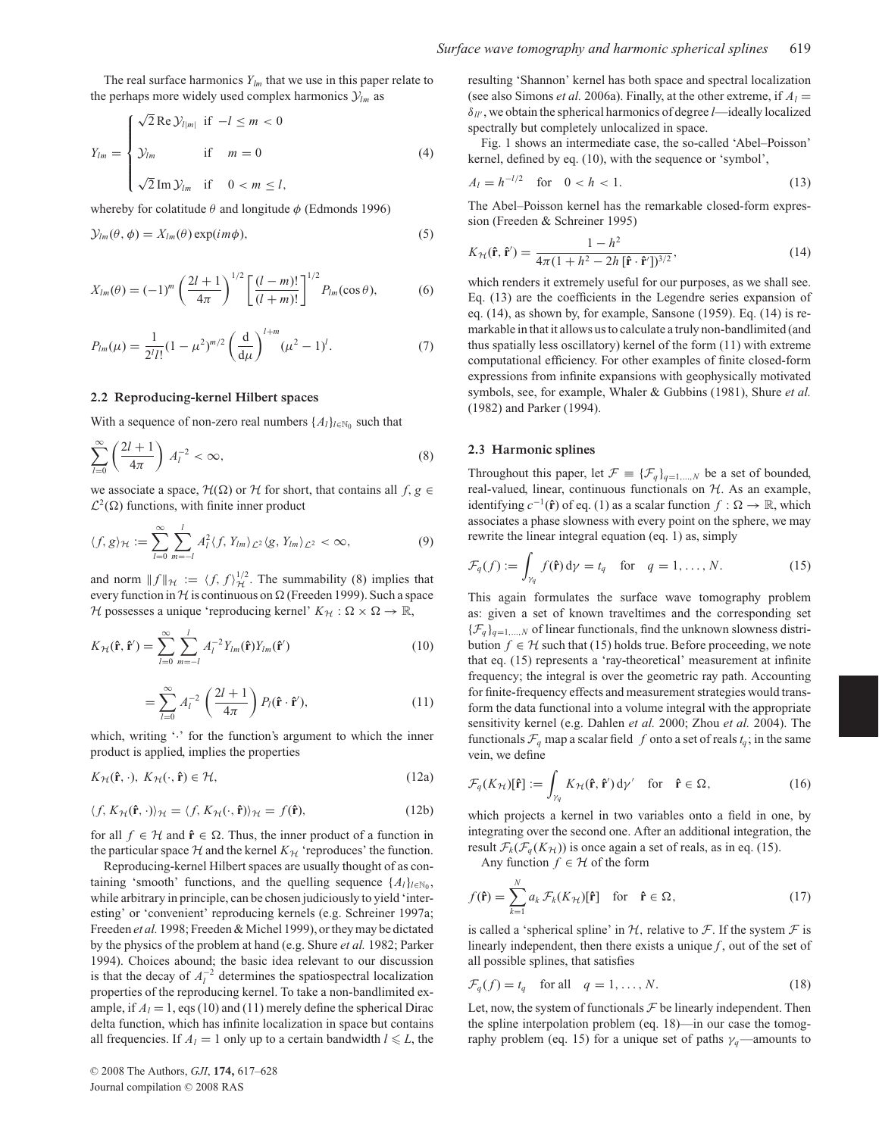The real surface harmonics  $Y_{lm}$  that we use in this paper relate to the perhaps more widely used complex harmonics  $\mathcal{Y}_{lm}$  as

$$
Y_{lm} = \begin{cases} \sqrt{2} \operatorname{Re} \mathcal{Y}_{l|m|} & \text{if } -l \le m < 0 \\ \mathcal{Y}_{lm} & \text{if } m = 0 \\ \sqrt{2} \operatorname{Im} \mathcal{Y}_{lm} & \text{if } 0 < m \le l, \end{cases}
$$
 (4)

whereby for colatitude  $\theta$  and longitude  $\phi$  (Edmonds 1996)

$$
\mathcal{Y}_{lm}(\theta,\phi) = X_{lm}(\theta) \exp(im\phi), \tag{5}
$$

$$
X_{lm}(\theta) = (-1)^m \left(\frac{2l+1}{4\pi}\right)^{1/2} \left[\frac{(l-m)!}{(l+m)!}\right]^{1/2} P_{lm}(\cos\theta),\tag{6}
$$

$$
P_{lm}(\mu) = \frac{1}{2^l l!} (1 - \mu^2)^{m/2} \left(\frac{d}{d\mu}\right)^{l+m} (\mu^2 - 1)^l.
$$
 (7)

## **2.2 Reproducing-kernel Hilbert spaces**

With a sequence of non-zero real numbers  $\{A_l\}_{l \in \mathbb{N}_0}$  such that

$$
\sum_{l=0}^{\infty} \left( \frac{2l+1}{4\pi} \right) A_l^{-2} < \infty,\tag{8}
$$

we associate a space,  $\mathcal{H}(\Omega)$  or  $\mathcal H$  for short, that contains all  $f, g \in$  $\mathcal{L}^2(\Omega)$  functions, with finite inner product

$$
\langle f, g \rangle_{\mathcal{H}} := \sum_{l=0}^{\infty} \sum_{m=-l}^{l} A_l^2 \langle f, Y_{lm} \rangle_{\mathcal{L}^2} \langle g, Y_{lm} \rangle_{\mathcal{L}^2} < \infty,\tag{9}
$$

and norm  $|| f ||_{\mathcal{H}} := \langle f, f \rangle_{\mathcal{H}}^{1/2}$ . The summability (8) implies that every function in H is continuous on  $\Omega$  (Freeden 1999). Such a space H possesses a unique 'reproducing kernel'  $K_H : \Omega \times \Omega \to \mathbb{R}$ ,

$$
K_{\mathcal{H}}(\mathbf{\hat{r}}, \mathbf{\hat{r}}') = \sum_{l=0}^{\infty} \sum_{m=-l}^{l} A_l^{-2} Y_{lm}(\mathbf{\hat{r}}) Y_{lm}(\mathbf{\hat{r}}')
$$
(10)

$$
= \sum_{l=0}^{\infty} A_l^{-2} \left(\frac{2l+1}{4\pi}\right) P_l(\hat{\mathbf{r}} \cdot \hat{\mathbf{r}}'),\tag{11}
$$

which, writing '.' for the function's argument to which the inner product is applied, implies the properties

$$
K_{\mathcal{H}}(\hat{\mathbf{r}},\cdot),\ K_{\mathcal{H}}(\cdot,\hat{\mathbf{r}})\in\mathcal{H},\tag{12a}
$$

$$
\langle f, K_{\mathcal{H}}(\mathbf{\hat{r}}, \cdot) \rangle_{\mathcal{H}} = \langle f, K_{\mathcal{H}}(\cdot, \mathbf{\hat{r}}) \rangle_{\mathcal{H}} = f(\mathbf{\hat{r}}), \tag{12b}
$$

for all  $f \in H$  and  $\hat{\mathbf{r}} \in \Omega$ . Thus, the inner product of a function in the particular space  $H$  and the kernel  $K_H$  'reproduces' the function.

Reproducing-kernel Hilbert spaces are usually thought of as containing 'smooth' functions, and the quelling sequence  $\{A_l\}_{l \in \mathbb{N}_0}$ , while arbitrary in principle, can be chosen judiciously to yield 'interesting' or 'convenient' reproducing kernels (e.g. Schreiner 1997a; Freeden *et al.* 1998; Freeden & Michel 1999), or they may be dictated by the physics of the problem at hand (e.g. Shure *et al.* 1982; Parker 1994). Choices abound; the basic idea relevant to our discussion is that the decay of  $A_l^{-2}$  determines the spatiospectral localization properties of the reproducing kernel. To take a non-bandlimited example, if  $A_l = 1$ , eqs (10) and (11) merely define the spherical Dirac delta function, which has infinite localization in space but contains all frequencies. If  $A_l = 1$  only up to a certain bandwidth  $l \le L$ , the resulting 'Shannon' kernel has both space and spectral localization (see also Simons *et al.* 2006a). Finally, at the other extreme, if  $A_l =$ δ*ll* , we obtain the spherical harmonics of degree *l*—ideally localized spectrally but completely unlocalized in space.

Fig. 1 shows an intermediate case, the so-called 'Abel–Poisson' kernel, defined by eq. (10), with the sequence or 'symbol',

$$
A_l = h^{-l/2} \quad \text{for} \quad 0 < h < 1. \tag{13}
$$

The Abel–Poisson kernel has the remarkable closed-form expression (Freeden & Schreiner 1995)

$$
K_{\mathcal{H}}(\hat{\mathbf{r}}, \hat{\mathbf{r}}') = \frac{1 - h^2}{4\pi (1 + h^2 - 2h [\hat{\mathbf{r}} \cdot \hat{\mathbf{r}}'])^{3/2}},\tag{14}
$$

which renders it extremely useful for our purposes, as we shall see. Eq. (13) are the coefficients in the Legendre series expansion of eq. (14), as shown by, for example, Sansone (1959). Eq. (14) is remarkable in that it allows us to calculate a truly non-bandlimited (and thus spatially less oscillatory) kernel of the form (11) with extreme computational efficiency. For other examples of finite closed-form expressions from infinite expansions with geophysically motivated symbols, see, for example, Whaler & Gubbins (1981), Shure *et al.* (1982) and Parker (1994).

### **2.3 Harmonic splines**

Throughout this paper, let  $\mathcal{F} \equiv {\{\mathcal{F}_q\}}_{q=1,\dots,N}$  be a set of bounded, real-valued, linear, continuous functionals on  $H$ . As an example, identifying  $c^{-1}(\hat{\mathbf{r}})$  of eq. (1) as a scalar function *f* :  $\Omega \to \mathbb{R}$ , which associates a phase slowness with every point on the sphere, we may rewrite the linear integral equation (eq. 1) as, simply

$$
\mathcal{F}_q(f) := \int_{\gamma_q} f(\mathbf{\hat{r}}) d\gamma = t_q \quad \text{for} \quad q = 1, \dots, N. \tag{15}
$$

This again formulates the surface wave tomography problem as: given a set of known traveltimes and the corresponding set  ${\{\mathcal{F}_q\}}_{q=1,\ldots,N}$  of linear functionals, find the unknown slowness distribution  $f \in H$  such that (15) holds true. Before proceeding, we note that eq. (15) represents a 'ray-theoretical' measurement at infinite frequency; the integral is over the geometric ray path. Accounting for finite-frequency effects and measurement strategies would transform the data functional into a volume integral with the appropriate sensitivity kernel (e.g. Dahlen *et al.* 2000; Zhou *et al.* 2004). The functionals  $\mathcal{F}_q$  map a scalar field  $f$  onto a set of reals  $t_q$ ; in the same vein, we define

$$
\mathcal{F}_q(K_{\mathcal{H}})[\mathbf{\hat{r}}] := \int_{\gamma_q} K_{\mathcal{H}}(\mathbf{\hat{r}}, \mathbf{\hat{r}}') d\gamma' \quad \text{for} \quad \mathbf{\hat{r}} \in \Omega,
$$
 (16)

which projects a kernel in two variables onto a field in one, by integrating over the second one. After an additional integration, the result  $\mathcal{F}_k(\mathcal{F}_q(K_H))$  is once again a set of reals, as in eq. (15).

Any function  $f \in H$  of the form

$$
f(\mathbf{\hat{r}}) = \sum_{k=1}^{N} a_k \mathcal{F}_k(K_{\mathcal{H}})[\mathbf{\hat{r}}] \quad \text{for} \quad \mathbf{\hat{r}} \in \Omega,
$$
 (17)

is called a 'spherical spline' in  $H$ , relative to  $F$ . If the system  $F$  is linearly independent, then there exists a unique  $f$ , out of the set of all possible splines, that satisfies

$$
\mathcal{F}_q(f) = t_q \quad \text{for all} \quad q = 1, \dots, N. \tag{18}
$$

Let, now, the system of functionals  $\mathcal F$  be linearly independent. Then the spline interpolation problem (eq. 18)—in our case the tomography problem (eq. 15) for a unique set of paths  $\gamma_q$ —amounts to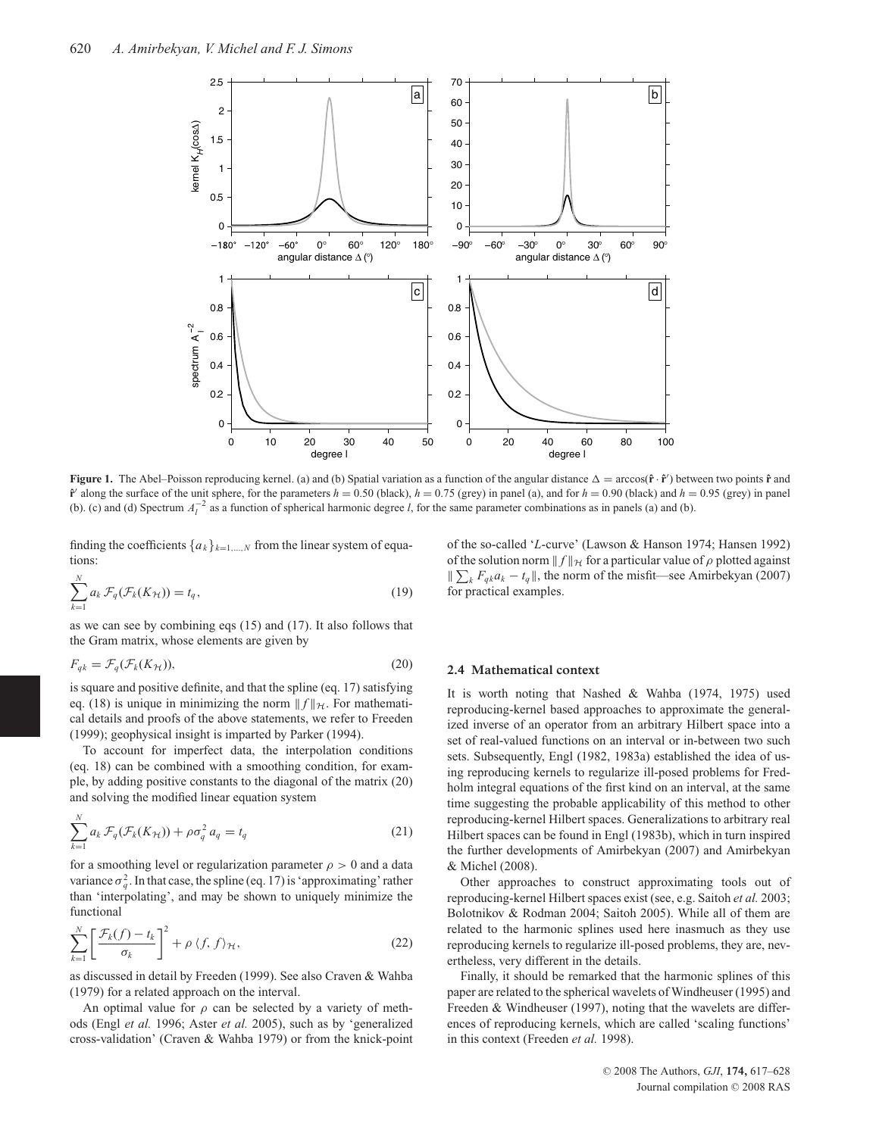

**Figure 1.** The Abel–Poisson reproducing kernel. (a) and (b) Spatial variation as a function of the angular distance  $\Delta = \arccos(\hat{\mathbf{r}} \cdot \hat{\mathbf{r}}')$  between two points  $\hat{\mathbf{r}}$  and  $\hat{\bf r}'$  along the surface of the unit sphere, for the parameters  $h = 0.50$  (black),  $h = 0.75$  (grey) in panel (a), and for  $h = 0.90$  (black) and  $h = 0.95$  (grey) in panel (b). (c) and (d) Spectrum  $A_I^{-2}$  as a function of spherical harmonic degree *l*, for the same parameter combinations as in panels (a) and (b).

finding the coefficients  $\{a_k\}_{k=1,\dots,N}$  from the linear system of equations:

$$
\sum_{k=1}^{N} a_k \mathcal{F}_q(\mathcal{F}_k(K_{\mathcal{H}})) = t_q,
$$
\n(19)

as we can see by combining eqs (15) and (17). It also follows that the Gram matrix, whose elements are given by

$$
F_{qk} = \mathcal{F}_q(\mathcal{F}_k(K_{\mathcal{H}})),\tag{20}
$$

is square and positive definite, and that the spline (eq. 17) satisfying eq. (18) is unique in minimizing the norm  $|| f ||_{\mathcal{H}}$ . For mathematical details and proofs of the above statements, we refer to Freeden (1999); geophysical insight is imparted by Parker (1994).

To account for imperfect data, the interpolation conditions (eq. 18) can be combined with a smoothing condition, for example, by adding positive constants to the diagonal of the matrix (20) and solving the modified linear equation system

$$
\sum_{k=1}^{N} a_k \mathcal{F}_q(\mathcal{F}_k(K_{\mathcal{H}})) + \rho \sigma_q^2 a_q = t_q \tag{21}
$$

for a smoothing level or regularization parameter  $\rho > 0$  and a data variance  $\sigma_q^2$ . In that case, the spline (eq. 17) is 'approximating' rather than 'interpolating', and may be shown to uniquely minimize the functional

$$
\sum_{k=1}^{N} \left[ \frac{\mathcal{F}_k(f) - t_k}{\sigma_k} \right]^2 + \rho \langle f, f \rangle_{\mathcal{H}},\tag{22}
$$

as discussed in detail by Freeden (1999). See also Craven & Wahba (1979) for a related approach on the interval.

An optimal value for  $\rho$  can be selected by a variety of methods (Engl *et al.* 1996; Aster *et al.* 2005), such as by 'generalized cross-validation' (Craven & Wahba 1979) or from the knick-point of the so-called '*L*-curve' (Lawson & Hanson 1974; Hansen 1992) of the solution norm  $|| f ||_{\mathcal{H}}$  for a particular value of  $\rho$  plotted against  $\sum_{k} F_{qk} a_k - t_q$ , the norm of the misfit—see Amirbekyan (2007) for practical examples.

## **2.4 Mathematical context**

It is worth noting that Nashed & Wahba (1974, 1975) used reproducing-kernel based approaches to approximate the generalized inverse of an operator from an arbitrary Hilbert space into a set of real-valued functions on an interval or in-between two such sets. Subsequently, Engl (1982, 1983a) established the idea of using reproducing kernels to regularize ill-posed problems for Fredholm integral equations of the first kind on an interval, at the same time suggesting the probable applicability of this method to other reproducing-kernel Hilbert spaces. Generalizations to arbitrary real Hilbert spaces can be found in Engl (1983b), which in turn inspired the further developments of Amirbekyan (2007) and Amirbekyan & Michel (2008).

Other approaches to construct approximating tools out of reproducing-kernel Hilbert spaces exist (see, e.g. Saitoh *et al.* 2003; Bolotnikov & Rodman 2004; Saitoh 2005). While all of them are related to the harmonic splines used here inasmuch as they use reproducing kernels to regularize ill-posed problems, they are, nevertheless, very different in the details.

Finally, it should be remarked that the harmonic splines of this paper are related to the spherical wavelets of Windheuser (1995) and Freeden & Windheuser (1997), noting that the wavelets are differences of reproducing kernels, which are called 'scaling functions' in this context (Freeden *et al.* 1998).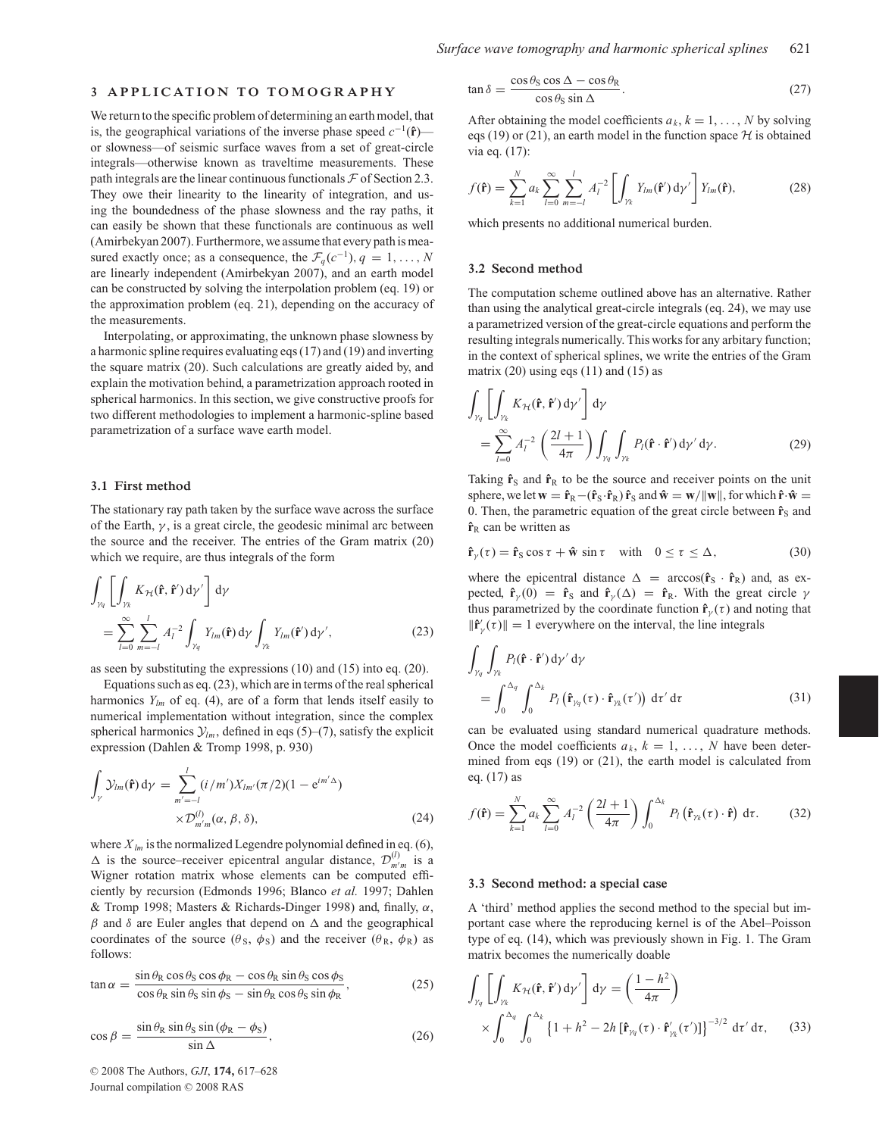## **3 APPLICATION TO TOMOGRAPHY**

We return to the specific problem of determining an earth model, that is, the geographical variations of the inverse phase speed  $c^{-1}(\hat{\bf{r}})$  or slowness—of seismic surface waves from a set of great-circle integrals—otherwise known as traveltime measurements. These path integrals are the linear continuous functionals  $\mathcal F$  of Section 2.3. They owe their linearity to the linearity of integration, and using the boundedness of the phase slowness and the ray paths, it can easily be shown that these functionals are continuous as well (Amirbekyan 2007). Furthermore, we assume that every path is measured exactly once; as a consequence, the  $\mathcal{F}_q(c^{-1}), q = 1, \ldots, N$ are linearly independent (Amirbekyan 2007), and an earth model can be constructed by solving the interpolation problem (eq. 19) or the approximation problem (eq. 21), depending on the accuracy of the measurements.

Interpolating, or approximating, the unknown phase slowness by a harmonic spline requires evaluating eqs (17) and (19) and inverting the square matrix (20). Such calculations are greatly aided by, and explain the motivation behind, a parametrization approach rooted in spherical harmonics. In this section, we give constructive proofs for two different methodologies to implement a harmonic-spline based parametrization of a surface wave earth model.

#### **3.1 First method**

The stationary ray path taken by the surface wave across the surface of the Earth,  $\gamma$ , is a great circle, the geodesic minimal arc between the source and the receiver. The entries of the Gram matrix (20) which we require, are thus integrals of the form

$$
\int_{\gamma_q} \left[ \int_{\gamma_k} K_{\gamma_t}(\hat{\mathbf{r}}, \hat{\mathbf{r}}') d\gamma' \right] d\gamma
$$
\n
$$
= \sum_{l=0}^{\infty} \sum_{m=-l}^{l} A_l^{-2} \int_{\gamma_q} Y_{lm}(\hat{\mathbf{r}}) d\gamma \int_{\gamma_k} Y_{lm}(\hat{\mathbf{r}}') d\gamma', \qquad (23)
$$

as seen by substituting the expressions (10) and (15) into eq. (20).

Equations such as eq. (23), which are in terms of the real spherical harmonics  $Y_{lm}$  of eq. (4), are of a form that lends itself easily to numerical implementation without integration, since the complex spherical harmonics  $\mathcal{Y}_{lm}$ , defined in eqs (5)–(7), satisfy the explicit expression (Dahlen & Tromp 1998, p. 930)

$$
\int_{\gamma} \mathcal{Y}_{lm}(\hat{\mathbf{r}}) d\gamma = \sum_{m'=-l}^{l} (i/m') X_{lm'}(\pi/2) (1 - e^{im'\Delta})
$$
  
 
$$
\times \mathcal{D}_{m'm}^{(l)}(\alpha, \beta, \delta), \qquad (24)
$$

where  $X_{lm}$  is the normalized Legendre polynomial defined in eq. (6),  $\Delta$  is the source–receiver epicentral angular distance,  $\mathcal{D}_{m/m}^{(l)}$  is a Wigner rotation matrix whose elements can be computed efficiently by recursion (Edmonds 1996; Blanco *et al.* 1997; Dahlen & Tromp 1998; Masters & Richards-Dinger 1998) and, finally,  $\alpha$ ,  $β$  and  $δ$  are Euler angles that depend on  $Δ$  and the geographical coordinates of the source  $(\theta_s, \phi_s)$  and the receiver  $(\theta_R, \phi_R)$  as follows:

$$
\tan \alpha = \frac{\sin \theta_{\rm R} \cos \theta_{\rm S} \cos \phi_{\rm R} - \cos \theta_{\rm R} \sin \theta_{\rm S} \cos \phi_{\rm S}}{\cos \theta_{\rm R} \sin \theta_{\rm S} \sin \phi_{\rm S} - \sin \theta_{\rm R} \cos \theta_{\rm S} \sin \phi_{\rm R}},
$$
(25)

$$
\cos \beta = \frac{\sin \theta_R \sin \theta_S \sin (\phi_R - \phi_S)}{\sin \Delta}, \qquad (26)
$$

 $\tan \delta = \frac{\cos \theta_{\rm S} \cos \Delta - \cos \theta_{\rm R}}{\cos \theta_{\rm S} \sin \Delta}.$  (27)

After obtaining the model coefficients  $a_k$ ,  $k = 1, \ldots, N$  by solving eqs (19) or (21), an earth model in the function space  $H$  is obtained via eq. (17):

$$
f(\mathbf{\hat{r}}) = \sum_{k=1}^{N} a_k \sum_{l=0}^{\infty} \sum_{m=-l}^{l} A_l^{-2} \left[ \int_{\gamma_k} Y_{lm}(\mathbf{\hat{r}}') d\gamma' \right] Y_{lm}(\mathbf{\hat{r}}), \tag{28}
$$

which presents no additional numerical burden.

### **3.2 Second method**

The computation scheme outlined above has an alternative. Rather than using the analytical great-circle integrals (eq. 24), we may use a parametrized version of the great-circle equations and perform the resulting integrals numerically. This works for any arbitary function; in the context of spherical splines, we write the entries of the Gram matrix  $(20)$  using eqs  $(11)$  and  $(15)$  as

$$
\int_{\gamma_q} \left[ \int_{\gamma_k} K_{\gamma_t}(\hat{\mathbf{r}}, \hat{\mathbf{r}}') d\gamma' \right] d\gamma
$$
\n
$$
= \sum_{l=0}^{\infty} A_l^{-2} \left( \frac{2l+1}{4\pi} \right) \int_{\gamma_q} \int_{\gamma_k} P_l(\hat{\mathbf{r}} \cdot \hat{\mathbf{r}}') d\gamma' d\gamma.
$$
\n(29)

Taking  $\hat{\mathbf{r}}_S$  and  $\hat{\mathbf{r}}_R$  to be the source and receiver points on the unit sphere, we let  $\mathbf{w} = \mathbf{\hat{r}}_R - (\mathbf{\hat{r}}_S \cdot \mathbf{\hat{r}}_R) \mathbf{\hat{r}}_S$  and  $\mathbf{\hat{w}} = \mathbf{w}/\|\mathbf{w}\|$ , for which  $\mathbf{\hat{r}} \cdot \mathbf{\hat{w}} =$ 0. Then, the parametric equation of the great circle between  $\hat{\mathbf{r}}_S$  and **rˆ**<sup>R</sup> can be written as

$$
\hat{\mathbf{r}}_{\gamma}(\tau) = \hat{\mathbf{r}}_{\mathbf{S}} \cos \tau + \hat{\mathbf{w}} \sin \tau \quad \text{with} \quad 0 \le \tau \le \Delta, \tag{30}
$$

where the epicentral distance  $\Delta$  = arccos( $\hat{\mathbf{r}}_S \cdot \hat{\mathbf{r}}_R$ ) and, as expected,  $\hat{\mathbf{r}}_{\gamma}(0) = \hat{\mathbf{r}}_{\mathbf{S}}$  and  $\hat{\mathbf{r}}_{\gamma}(\Delta) = \hat{\mathbf{r}}_{\mathbf{R}}$ . With the great circle  $\gamma$ thus parametrized by the coordinate function  $\mathbf{\hat{r}}_{\nu}(\tau)$  and noting that  $\|\mathbf{\hat{r}}_{\gamma}(\tau)\| = 1$  everywhere on the interval, the line integrals

$$
\int_{\gamma_q} \int_{\gamma_k} P_l(\hat{\mathbf{r}} \cdot \hat{\mathbf{r}}') d\gamma' d\gamma
$$
\n
$$
= \int_0^{\Delta_q} \int_0^{\Delta_k} P_l(\hat{\mathbf{r}}_{\gamma_q}(\tau) \cdot \hat{\mathbf{r}}_{\gamma_k}(\tau')) d\tau' d\tau
$$
\n(31)

can be evaluated using standard numerical quadrature methods. Once the model coefficients  $a_k$ ,  $k = 1, \ldots, N$  have been determined from eqs (19) or (21), the earth model is calculated from eq. (17) as

$$
f(\mathbf{\hat{r}}) = \sum_{k=1}^{N} a_k \sum_{l=0}^{\infty} A_l^{-2} \left( \frac{2l+1}{4\pi} \right) \int_0^{\Delta_k} P_l \left( \mathbf{\hat{r}}_{\gamma_k}(\tau) \cdot \mathbf{\hat{r}} \right) d\tau.
$$
 (32)

#### **3.3 Second method: a special case**

A 'third' method applies the second method to the special but important case where the reproducing kernel is of the Abel–Poisson type of eq. (14), which was previously shown in Fig. 1. The Gram matrix becomes the numerically doable

$$
\int_{\gamma_q} \left[ \int_{\gamma_k} K_{\gamma t}(\hat{\mathbf{r}}, \hat{\mathbf{r}}') d\gamma' \right] d\gamma = \left( \frac{1 - h^2}{4\pi} \right)
$$

$$
\times \int_0^{\Delta_q} \int_0^{\Delta_k} \left\{ 1 + h^2 - 2h \left[ \hat{\mathbf{r}}_{\gamma_q}(\tau) \cdot \hat{\mathbf{r}}'_{\gamma_k}(\tau') \right] \right\}^{-3/2} d\tau' d\tau, \qquad (33)
$$

<sup>C</sup> 2008 The Authors, *GJI*, **174,** 617–628 Journal compilation  $©$  2008 RAS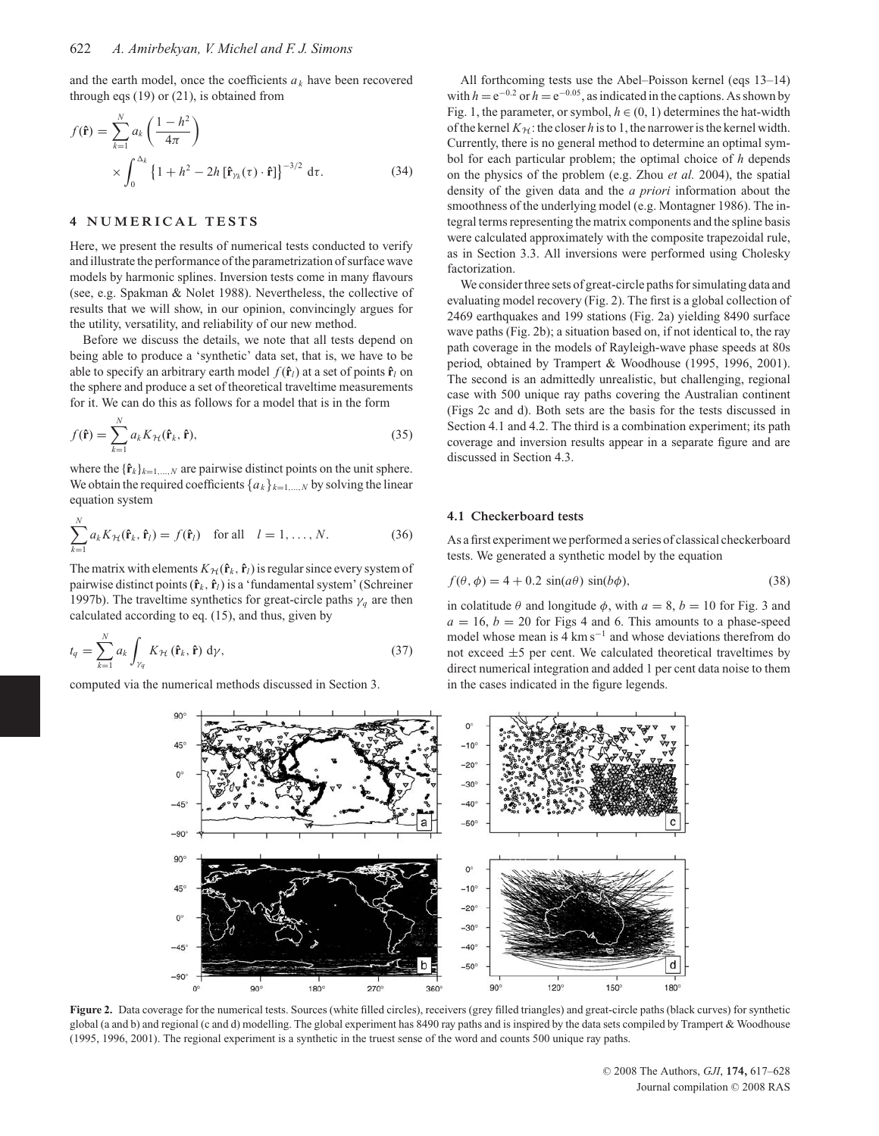and the earth model, once the coefficients  $a_k$  have been recovered through eqs (19) or (21), is obtained from

$$
f(\mathbf{\hat{r}}) = \sum_{k=1}^{N} a_k \left( \frac{1 - h^2}{4\pi} \right)
$$
  
 
$$
\times \int_0^{\Delta_k} \left\{ 1 + h^2 - 2h \left[ \mathbf{\hat{r}}_{\gamma_k}(\tau) \cdot \mathbf{\hat{r}} \right] \right\}^{-3/2} d\tau.
$$
 (34)

# **4 NUMERICAL TESTS**

Here, we present the results of numerical tests conducted to verify and illustrate the performance of the parametrization of surface wave models by harmonic splines. Inversion tests come in many flavours (see, e.g. Spakman & Nolet 1988). Nevertheless, the collective of results that we will show, in our opinion, convincingly argues for the utility, versatility, and reliability of our new method.

Before we discuss the details, we note that all tests depend on being able to produce a 'synthetic' data set, that is, we have to be able to specify an arbitrary earth model  $f(\hat{\mathbf{r}}_l)$  at a set of points  $\hat{\mathbf{r}}_l$  on the sphere and produce a set of theoretical traveltime measurements for it. We can do this as follows for a model that is in the form

$$
f(\hat{\mathbf{r}}) = \sum_{k=1}^{N} a_k K_{\mathcal{H}}(\hat{\mathbf{r}}_k, \hat{\mathbf{r}}),
$$
\n(35)

where the  ${\hat{\bf{r}}_k}_{k=1,\ldots,N}$  are pairwise distinct points on the unit sphere. We obtain the required coefficients  ${a_k}_{k=1,\dots,N}$  by solving the linear equation system

$$
\sum_{k=1}^{N} a_k K_{\mathcal{H}}(\mathbf{\hat{r}}_k, \mathbf{\hat{r}}_l) = f(\mathbf{\hat{r}}_l) \quad \text{for all} \quad l = 1, \dots, N. \tag{36}
$$

The matrix with elements  $K_H(\hat{\mathbf{r}}_k, \hat{\mathbf{r}}_l)$  is regular since every system of pairwise distinct points (**rˆ***<sup>k</sup>* , **rˆ***l*) is a 'fundamental system' (Schreiner 1997b). The traveltime synthetics for great-circle paths  $\gamma_q$  are then calculated according to eq. (15), and thus, given by

$$
t_q = \sum_{k=1}^{N} a_k \int_{\gamma_q} K_{\mathcal{H}}(\mathbf{\hat{r}}_k, \mathbf{\hat{r}}) d\gamma,
$$
 (37)

computed via the numerical methods discussed in Section 3.

All forthcoming tests use the Abel–Poisson kernel (eqs 13–14) with  $h = e^{-0.2}$  or  $h = e^{-0.05}$ , as indicated in the captions. As shown by Fig. 1, the parameter, or symbol,  $h \in (0, 1)$  determines the hat-width of the kernel  $K_H$ : the closer h is to 1, the narrower is the kernel width. Currently, there is no general method to determine an optimal symbol for each particular problem; the optimal choice of *h* depends on the physics of the problem (e.g. Zhou *et al.* 2004), the spatial density of the given data and the *a priori* information about the smoothness of the underlying model (e.g. Montagner 1986). The integral terms representing the matrix components and the spline basis were calculated approximately with the composite trapezoidal rule, as in Section 3.3. All inversions were performed using Cholesky factorization.

We consider three sets of great-circle paths for simulating data and evaluating model recovery (Fig. 2). The first is a global collection of 2469 earthquakes and 199 stations (Fig. 2a) yielding 8490 surface wave paths (Fig. 2b); a situation based on, if not identical to, the ray path coverage in the models of Rayleigh-wave phase speeds at 80s period, obtained by Trampert & Woodhouse (1995, 1996, 2001). The second is an admittedly unrealistic, but challenging, regional case with 500 unique ray paths covering the Australian continent (Figs 2c and d). Both sets are the basis for the tests discussed in Section 4.1 and 4.2. The third is a combination experiment; its path coverage and inversion results appear in a separate figure and are discussed in Section 4.3.

#### **4.1 Checkerboard tests**

As a first experiment we performed a series of classical checkerboard tests. We generated a synthetic model by the equation

$$
f(\theta, \phi) = 4 + 0.2 \sin(a\theta) \sin(b\phi),
$$
\n(38)

in colatitude  $\theta$  and longitude  $\phi$ , with  $a = 8$ ,  $b = 10$  for Fig. 3 and  $a = 16$ ,  $b = 20$  for Figs 4 and 6. This amounts to a phase-speed model whose mean is 4 km s<sup>−</sup><sup>1</sup> and whose deviations therefrom do not exceed  $\pm$ 5 per cent. We calculated theoretical traveltimes by direct numerical integration and added 1 per cent data noise to them in the cases indicated in the figure legends.



**Figure 2.** Data coverage for the numerical tests. Sources (white filled circles), receivers (grey filled triangles) and great-circle paths (black curves) for synthetic global (a and b) and regional (c and d) modelling. The global experiment has 8490 ray paths and is inspired by the data sets compiled by Trampert & Woodhouse (1995, 1996, 2001). The regional experiment is a synthetic in the truest sense of the word and counts 500 unique ray paths.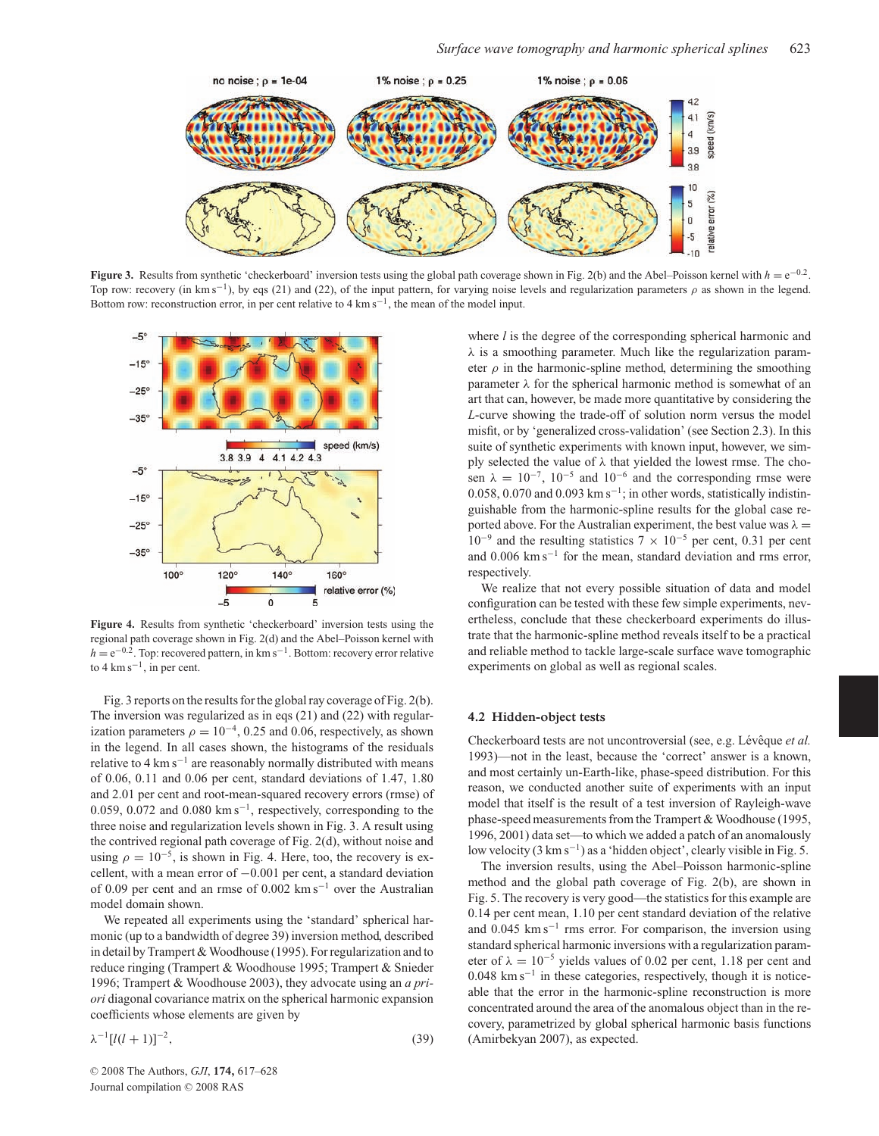

**Figure 3.** Results from synthetic 'checkerboard' inversion tests using the global path coverage shown in Fig. 2(b) and the Abel–Poisson kernel with  $h = e^{-0.2}$ . Top row: recovery (in km s<sup>-1</sup>), by eqs (21) and (22), of the input pattern, for varying noise levels and regularization parameters  $\rho$  as shown in the legend. Bottom row: reconstruction error, in per cent relative to 4 km s<sup>-1</sup>, the mean of the model input.



**Figure 4.** Results from synthetic 'checkerboard' inversion tests using the regional path coverage shown in Fig. 2(d) and the Abel–Poisson kernel with *h* = e<sup>−0.2</sup>. Top: recovered pattern, in km s<sup>−1</sup>. Bottom: recovery error relative to 4 km s<sup> $-1$ </sup>, in per cent.

Fig. 3 reports on the results for the global ray coverage of Fig. 2(b). The inversion was regularized as in eqs (21) and (22) with regularization parameters  $\rho = 10^{-4}$ , 0.25 and 0.06, respectively, as shown in the legend. In all cases shown, the histograms of the residuals relative to 4  $\rm km\,s^{-1}$  are reasonably normally distributed with means of 0.06, 0.11 and 0.06 per cent, standard deviations of 1.47, 1.80 and 2.01 per cent and root-mean-squared recovery errors (rmse) of 0.059, 0.072 and 0.080 km s<sup>−</sup>1, respectively, corresponding to the three noise and regularization levels shown in Fig. 3. A result using the contrived regional path coverage of Fig. 2(d), without noise and using  $\rho = 10^{-5}$ , is shown in Fig. 4. Here, too, the recovery is excellent, with a mean error of −0.001 per cent, a standard deviation of 0.09 per cent and an rmse of 0.002 km s<sup>−</sup><sup>1</sup> over the Australian model domain shown.

We repeated all experiments using the 'standard' spherical harmonic (up to a bandwidth of degree 39) inversion method, described in detail by Trampert & Woodhouse (1995). For regularization and to reduce ringing (Trampert & Woodhouse 1995; Trampert & Snieder 1996; Trampert & Woodhouse 2003), they advocate using an *a priori* diagonal covariance matrix on the spherical harmonic expansion coefficients whose elements are given by

$$
\lambda^{-1}[l(l+1)]^{-2},\tag{39}
$$

where *l* is the degree of the corresponding spherical harmonic and  $\lambda$  is a smoothing parameter. Much like the regularization parameter  $\rho$  in the harmonic-spline method, determining the smoothing parameter  $\lambda$  for the spherical harmonic method is somewhat of an art that can, however, be made more quantitative by considering the *L*-curve showing the trade-off of solution norm versus the model misfit, or by 'generalized cross-validation' (see Section 2.3). In this suite of synthetic experiments with known input, however, we simply selected the value of  $\lambda$  that yielded the lowest rmse. The chosen  $\lambda = 10^{-7}$ , 10<sup>-5</sup> and 10<sup>-6</sup> and the corresponding rmse were 0.058, 0.070 and 0.093 km s<sup>-1</sup>; in other words, statistically indistinguishable from the harmonic-spline results for the global case reported above. For the Australian experiment, the best value was  $\lambda =$  $10^{-9}$  and the resulting statistics  $7 \times 10^{-5}$  per cent, 0.31 per cent and 0.006 km s<sup> $-1$ </sup> for the mean, standard deviation and rms error, respectively.

We realize that not every possible situation of data and model configuration can be tested with these few simple experiments, nevertheless, conclude that these checkerboard experiments do illustrate that the harmonic-spline method reveals itself to be a practical and reliable method to tackle large-scale surface wave tomographic experiments on global as well as regional scales.

#### **4.2 Hidden-object tests**

Checkerboard tests are not uncontroversial (see, e.g. Lévêque *et al.*) 1993)—not in the least, because the 'correct' answer is a known, and most certainly un-Earth-like, phase-speed distribution. For this reason, we conducted another suite of experiments with an input model that itself is the result of a test inversion of Rayleigh-wave phase-speed measurements from the Trampert & Woodhouse (1995, 1996, 2001) data set—to which we added a patch of an anomalously low velocity (3 km s<sup>−</sup>1) as a 'hidden object', clearly visible in Fig. 5.

The inversion results, using the Abel–Poisson harmonic-spline method and the global path coverage of Fig. 2(b), are shown in Fig. 5. The recovery is very good—the statistics for this example are 0.14 per cent mean, 1.10 per cent standard deviation of the relative and 0.045 km s<sup>−</sup><sup>1</sup> rms error. For comparison, the inversion using standard spherical harmonic inversions with a regularization parameter of  $\lambda = 10^{-5}$  yields values of 0.02 per cent, 1.18 per cent and 0.048 km s<sup>−</sup><sup>1</sup> in these categories, respectively, though it is noticeable that the error in the harmonic-spline reconstruction is more concentrated around the area of the anomalous object than in the recovery, parametrized by global spherical harmonic basis functions (Amirbekyan 2007), as expected.

<sup>C</sup> 2008 The Authors, *GJI*, **174,** 617–628 Journal compilation  $©$  2008 RAS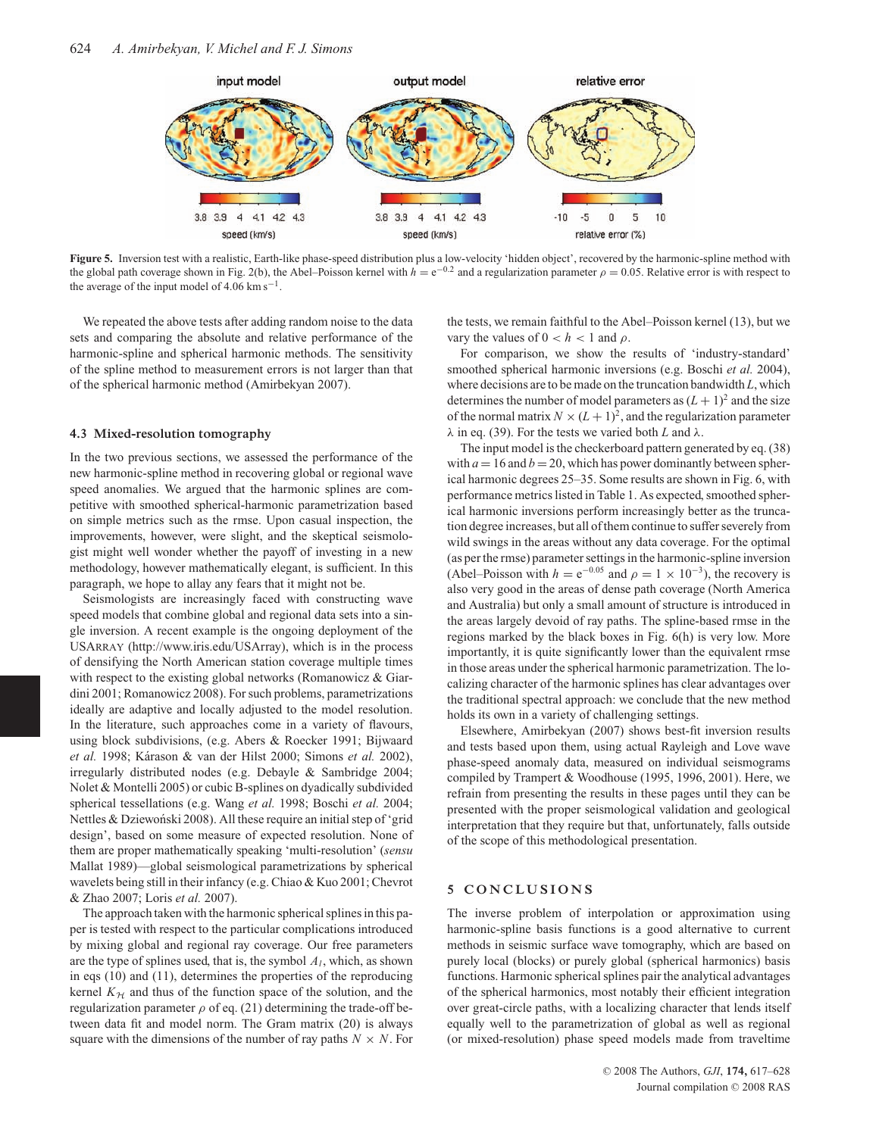

**Figure 5.** Inversion test with a realistic, Earth-like phase-speed distribution plus a low-velocity 'hidden object', recovered by the harmonic-spline method with the global path coverage shown in Fig. 2(b), the Abel–Poisson kernel with  $h = e^{-0.2}$  and a regularization parameter  $\rho = 0.05$ . Relative error is with respect to the average of the input model of 4.06 km s<sup> $-1$ </sup>.

We repeated the above tests after adding random noise to the data sets and comparing the absolute and relative performance of the harmonic-spline and spherical harmonic methods. The sensitivity of the spline method to measurement errors is not larger than that of the spherical harmonic method (Amirbekyan 2007).

#### **4.3 Mixed-resolution tomography**

In the two previous sections, we assessed the performance of the new harmonic-spline method in recovering global or regional wave speed anomalies. We argued that the harmonic splines are competitive with smoothed spherical-harmonic parametrization based on simple metrics such as the rmse. Upon casual inspection, the improvements, however, were slight, and the skeptical seismologist might well wonder whether the payoff of investing in a new methodology, however mathematically elegant, is sufficient. In this paragraph, we hope to allay any fears that it might not be.

Seismologists are increasingly faced with constructing wave speed models that combine global and regional data sets into a single inversion. A recent example is the ongoing deployment of the USARRAY (http://www.iris.edu/USArray), which is in the process of densifying the North American station coverage multiple times with respect to the existing global networks (Romanowicz & Giardini 2001; Romanowicz 2008). For such problems, parametrizations ideally are adaptive and locally adjusted to the model resolution. In the literature, such approaches come in a variety of flavours, using block subdivisions, (e.g. Abers & Roecker 1991; Bijwaard *et al.* 1998; K´arason & van der Hilst 2000; Simons *et al.* 2002), irregularly distributed nodes (e.g. Debayle & Sambridge 2004; Nolet & Montelli 2005) or cubic B-splines on dyadically subdivided spherical tessellations (e.g. Wang *et al.* 1998; Boschi *et al.* 2004; Nettles & Dziewoński 2008). All these require an initial step of 'grid design', based on some measure of expected resolution. None of them are proper mathematically speaking 'multi-resolution' (*sensu* Mallat 1989)—global seismological parametrizations by spherical wavelets being still in their infancy (e.g. Chiao & Kuo 2001; Chevrot & Zhao 2007; Loris *et al.* 2007).

The approach taken with the harmonic spherical splines in this paper is tested with respect to the particular complications introduced by mixing global and regional ray coverage. Our free parameters are the type of splines used, that is, the symbol  $A<sub>l</sub>$ , which, as shown in eqs (10) and (11), determines the properties of the reproducing kernel  $K<sub>H</sub>$  and thus of the function space of the solution, and the regularization parameter  $\rho$  of eq. (21) determining the trade-off between data fit and model norm. The Gram matrix (20) is always square with the dimensions of the number of ray paths  $N \times N$ . For the tests, we remain faithful to the Abel–Poisson kernel (13), but we vary the values of  $0 < h < 1$  and  $\rho$ .

For comparison, we show the results of 'industry-standard' smoothed spherical harmonic inversions (e.g. Boschi *et al.* 2004), where decisions are to be made on the truncation bandwidth *L*, which determines the number of model parameters as  $(L + 1)^2$  and the size of the normal matrix  $N \times (L+1)^2$ , and the regularization parameter  $\lambda$  in eq. (39). For the tests we varied both *L* and  $\lambda$ .

The input model is the checkerboard pattern generated by eq. (38) with  $a = 16$  and  $b = 20$ , which has power dominantly between spherical harmonic degrees 25–35. Some results are shown in Fig. 6, with performance metrics listed in Table 1. As expected, smoothed spherical harmonic inversions perform increasingly better as the truncation degree increases, but all of them continue to suffer severely from wild swings in the areas without any data coverage. For the optimal (as per the rmse) parameter settings in the harmonic-spline inversion (Abel–Poisson with  $h = e^{-0.05}$  and  $\rho = 1 \times 10^{-3}$ ), the recovery is also very good in the areas of dense path coverage (North America and Australia) but only a small amount of structure is introduced in the areas largely devoid of ray paths. The spline-based rmse in the regions marked by the black boxes in Fig. 6(h) is very low. More importantly, it is quite significantly lower than the equivalent rmse in those areas under the spherical harmonic parametrization. The localizing character of the harmonic splines has clear advantages over the traditional spectral approach: we conclude that the new method holds its own in a variety of challenging settings.

Elsewhere, Amirbekyan (2007) shows best-fit inversion results and tests based upon them, using actual Rayleigh and Love wave phase-speed anomaly data, measured on individual seismograms compiled by Trampert & Woodhouse (1995, 1996, 2001). Here, we refrain from presenting the results in these pages until they can be presented with the proper seismological validation and geological interpretation that they require but that, unfortunately, falls outside of the scope of this methodological presentation.

# **5 CONCLUSIONS**

The inverse problem of interpolation or approximation using harmonic-spline basis functions is a good alternative to current methods in seismic surface wave tomography, which are based on purely local (blocks) or purely global (spherical harmonics) basis functions. Harmonic spherical splines pair the analytical advantages of the spherical harmonics, most notably their efficient integration over great-circle paths, with a localizing character that lends itself equally well to the parametrization of global as well as regional (or mixed-resolution) phase speed models made from traveltime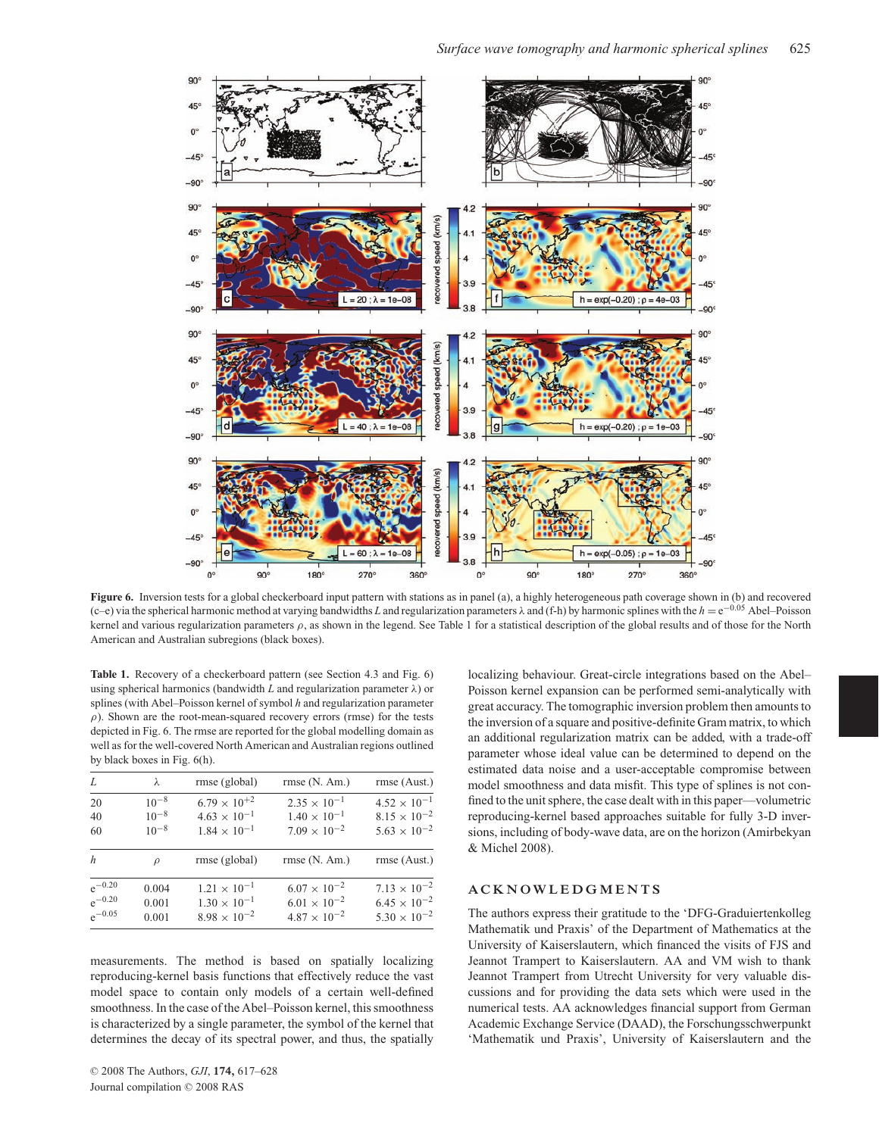

**Figure 6.** Inversion tests for a global checkerboard input pattern with stations as in panel (a), a highly heterogeneous path coverage shown in (b) and recovered (c–e) via the spherical harmonic method at varying bandwidths *L* and regularization parameters λ and (f-h) by harmonic splines with the *h* = e−0.<sup>05</sup> Abel–Poisson kernel and various regularization parameters  $\rho$ , as shown in the legend. See Table 1 for a statistical description of the global results and of those for the North American and Australian subregions (black boxes).

Table 1. Recovery of a checkerboard pattern (see Section 4.3 and Fig. 6) using spherical harmonics (bandwidth  $L$  and regularization parameter  $\lambda$ ) or splines (with Abel–Poisson kernel of symbol *h* and regularization parameter  $\rho$ ). Shown are the root-mean-squared recovery errors (rmse) for the tests depicted in Fig. 6. The rmse are reported for the global modelling domain as well as for the well-covered North American and Australian regions outlined by black boxes in Fig. 6(h).

| L                | λ             | rmse (global)         | rmse(N. Am.)          | rmse (Aust.)          |
|------------------|---------------|-----------------------|-----------------------|-----------------------|
| 20               | $10^{-8}$     | $6.79 \times 10^{+2}$ | $2.35 \times 10^{-1}$ | $4.52 \times 10^{-1}$ |
| 40               | $10^{-8}$     | $4.63 \times 10^{-1}$ | $1.40 \times 10^{-1}$ | $8.15 \times 10^{-2}$ |
| 60               | $10^{-8}$     | $1.84 \times 10^{-1}$ | $7.09 \times 10^{-2}$ | $5.63 \times 10^{-2}$ |
| $\boldsymbol{h}$ | $\mathcal{L}$ | rmse (global)         | rmse(N. Am.)          | rmse (Aust.)          |
| $e^{-0.20}$      | 0.004         | $1.21 \times 10^{-1}$ | $6.07 \times 10^{-2}$ | $7.13 \times 10^{-2}$ |
| $e^{-0.20}$      | 0.001         | $1.30 \times 10^{-1}$ | $6.01 \times 10^{-2}$ | $6.45 \times 10^{-2}$ |
| $e^{-0.05}$      | 0.001         | $8.98 \times 10^{-2}$ | $4.87 \times 10^{-2}$ | $5.30 \times 10^{-2}$ |

measurements. The method is based on spatially localizing reproducing-kernel basis functions that effectively reduce the vast model space to contain only models of a certain well-defined smoothness. In the case of the Abel–Poisson kernel, this smoothness is characterized by a single parameter, the symbol of the kernel that determines the decay of its spectral power, and thus, the spatially

localizing behaviour. Great-circle integrations based on the Abel– Poisson kernel expansion can be performed semi-analytically with great accuracy. The tomographic inversion problem then amounts to the inversion of a square and positive-definite Gram matrix, to which an additional regularization matrix can be added, with a trade-off parameter whose ideal value can be determined to depend on the estimated data noise and a user-acceptable compromise between model smoothness and data misfit. This type of splines is not confined to the unit sphere, the case dealt with in this paper—volumetric reproducing-kernel based approaches suitable for fully 3-D inversions, including of body-wave data, are on the horizon (Amirbekyan & Michel 2008).

## **ACKNOWLEDGMENTS**

The authors express their gratitude to the 'DFG-Graduiertenkolleg Mathematik und Praxis' of the Department of Mathematics at the University of Kaiserslautern, which financed the visits of FJS and Jeannot Trampert to Kaiserslautern. AA and VM wish to thank Jeannot Trampert from Utrecht University for very valuable discussions and for providing the data sets which were used in the numerical tests. AA acknowledges financial support from German Academic Exchange Service (DAAD), the Forschungsschwerpunkt 'Mathematik und Praxis', University of Kaiserslautern and the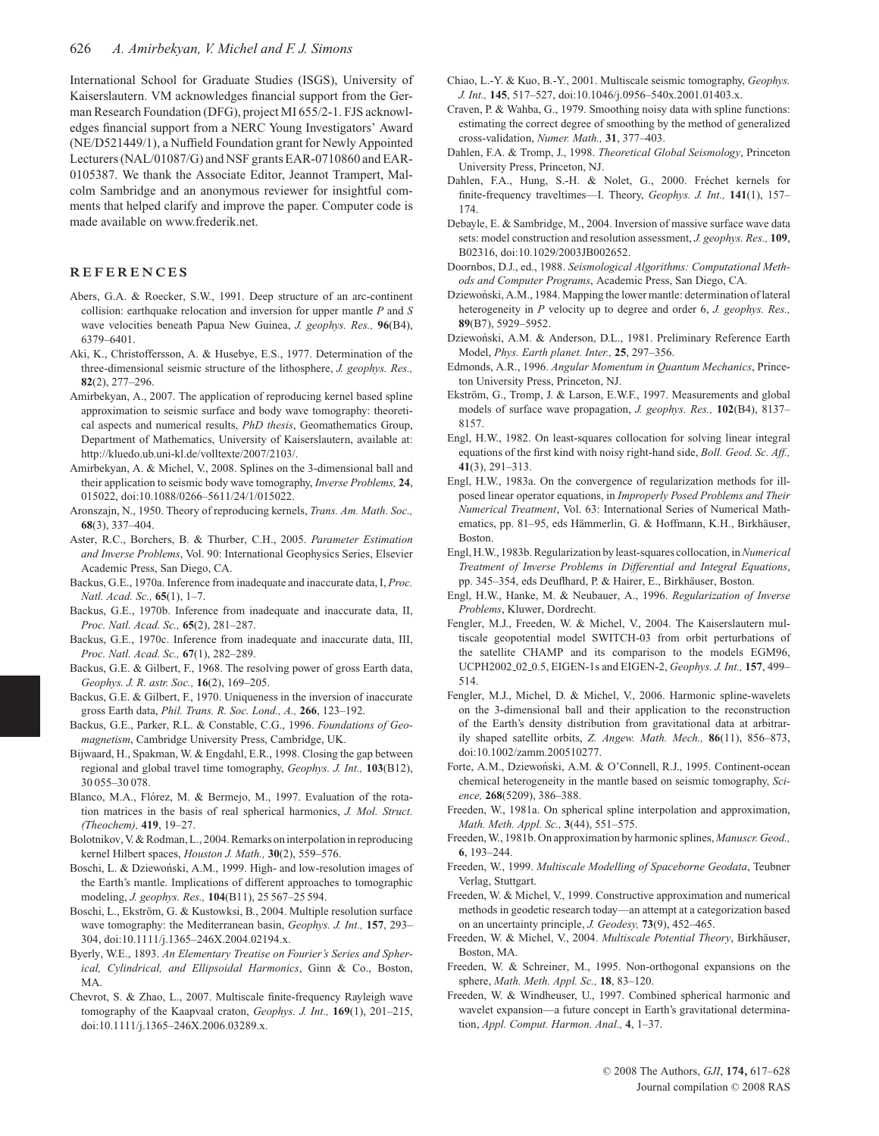International School for Graduate Studies (ISGS), University of Kaiserslautern. VM acknowledges financial support from the German Research Foundation (DFG), project MI 655/2-1. FJS acknowledges financial support from a NERC Young Investigators' Award (NE/D521449/1), a Nuffield Foundation grant for Newly Appointed Lecturers (NAL/01087/G) and NSF grants EAR-0710860 and EAR-0105387. We thank the Associate Editor, Jeannot Trampert, Malcolm Sambridge and an anonymous reviewer for insightful comments that helped clarify and improve the paper. Computer code is made available on www.frederik.net.

## **REFERENCES**

- Abers, G.A. & Roecker, S.W., 1991. Deep structure of an arc-continent collision: earthquake relocation and inversion for upper mantle *P* and *S* wave velocities beneath Papua New Guinea, *J. geophys. Res.,* **96**(B4), 6379–6401.
- Aki, K., Christoffersson, A. & Husebye, E.S., 1977. Determination of the three-dimensional seismic structure of the lithosphere, *J. geophys. Res.,* **82**(2), 277–296.
- Amirbekyan, A., 2007. The application of reproducing kernel based spline approximation to seismic surface and body wave tomography: theoretical aspects and numerical results, *PhD thesis*, Geomathematics Group, Department of Mathematics, University of Kaiserslautern, available at: http://kluedo.ub.uni-kl.de/volltexte/2007/2103/.
- Amirbekyan, A. & Michel, V., 2008. Splines on the 3-dimensional ball and their application to seismic body wave tomography, *Inverse Problems,* **24**, 015022, doi:10.1088/0266–5611/24/1/015022.
- Aronszajn, N., 1950. Theory of reproducing kernels, *Trans. Am. Math. Soc.,* **68**(3), 337–404.
- Aster, R.C., Borchers, B. & Thurber, C.H., 2005. *Parameter Estimation and Inverse Problems*, Vol. 90: International Geophysics Series, Elsevier Academic Press, San Diego, CA.
- Backus, G.E., 1970a. Inference from inadequate and inaccurate data, I, *Proc. Natl. Acad. Sc.,* **65**(1), 1–7.
- Backus, G.E., 1970b. Inference from inadequate and inaccurate data, II, *Proc. Natl. Acad. Sc.,* **65**(2), 281–287.
- Backus, G.E., 1970c. Inference from inadequate and inaccurate data, III, *Proc. Natl. Acad. Sc.,* **67**(1), 282–289.
- Backus, G.E. & Gilbert, F., 1968. The resolving power of gross Earth data, *Geophys. J. R. astr. Soc.,* **16**(2), 169–205.
- Backus, G.E. & Gilbert, F., 1970. Uniqueness in the inversion of inaccurate gross Earth data, *Phil. Trans. R. Soc. Lond., A.,* **266**, 123–192.
- Backus, G.E., Parker, R.L. & Constable, C.G., 1996. *Foundations of Geomagnetism*, Cambridge University Press, Cambridge, UK.
- Bijwaard, H., Spakman, W. & Engdahl, E.R., 1998. Closing the gap between regional and global travel time tomography, *Geophys. J. Int.,* **103**(B12), 30 055–30 078.
- Blanco, M.A., Flórez, M. & Bermejo, M., 1997. Evaluation of the rotation matrices in the basis of real spherical harmonics, *J. Mol. Struct. (Theochem),* **419**, 19–27.
- Bolotnikov, V. & Rodman, L., 2004. Remarks on interpolation in reproducing kernel Hilbert spaces, *Houston J. Math.,* **30**(2), 559–576.
- Boschi, L. & Dziewoński, A.M., 1999. High- and low-resolution images of the Earth's mantle. Implications of different approaches to tomographic modeling, *J. geophys. Res.,* **104**(B11), 25 567–25 594.
- Boschi, L., Ekström, G. & Kustowksi, B., 2004. Multiple resolution surface wave tomography: the Mediterranean basin, *Geophys. J. Int.,* **157**, 293– 304, doi:10.1111/j.1365–246X.2004.02194.x.
- Byerly, W.E., 1893. *An Elementary Treatise on Fourier's Series and Spherical, Cylindrical, and Ellipsoidal Harmonics*, Ginn & Co., Boston, MA.
- Chevrot, S. & Zhao, L., 2007. Multiscale finite-frequency Rayleigh wave tomography of the Kaapvaal craton, *Geophys. J. Int.,* **169**(1), 201–215, doi:10.1111/j.1365–246X.2006.03289.x.
- Chiao, L.-Y. & Kuo, B.-Y., 2001. Multiscale seismic tomography, *Geophys. J. Int.,* **145**, 517–527, doi:10.1046/j.0956–540x.2001.01403.x.
- Craven, P. & Wahba, G., 1979. Smoothing noisy data with spline functions: estimating the correct degree of smoothing by the method of generalized cross-validation, *Numer. Math.,* **31**, 377–403.
- Dahlen, F.A. & Tromp, J., 1998. *Theoretical Global Seismology*, Princeton University Press, Princeton, NJ.
- Dahlen, F.A., Hung, S.-H. & Nolet, G., 2000. Fréchet kernels for finite-frequency traveltimes—I. Theory, *Geophys. J. Int.,* **141**(1), 157– 174.
- Debayle, E. & Sambridge, M., 2004. Inversion of massive surface wave data sets: model construction and resolution assessment, *J. geophys. Res.,* **109**, B02316, doi:10.1029/2003JB002652.
- Doornbos, D.J., ed., 1988. *Seismological Algorithms: Computational Methods and Computer Programs*, Academic Press, San Diego, CA.
- Dziewoński, A.M., 1984. Mapping the lower mantle: determination of lateral heterogeneity in *P* velocity up to degree and order 6, *J. geophys. Res.,* **89**(B7), 5929–5952.
- Dziewoński, A.M. & Anderson, D.L., 1981. Preliminary Reference Earth Model, *Phys. Earth planet. Inter.,* **25**, 297–356.
- Edmonds, A.R., 1996. *Angular Momentum in Quantum Mechanics*, Princeton University Press, Princeton, NJ.
- Ekström, G., Tromp, J. & Larson, E.W.F., 1997. Measurements and global models of surface wave propagation, *J. geophys. Res.,* **102**(B4), 8137– 8157.
- Engl, H.W., 1982. On least-squares collocation for solving linear integral equations of the first kind with noisy right-hand side, *Boll. Geod. Sc. Aff.,* **41**(3), 291–313.
- Engl, H.W., 1983a. On the convergence of regularization methods for illposed linear operator equations, in *Improperly Posed Problems and Their Numerical Treatment*, Vol. 63: International Series of Numerical Mathematics, pp. 81–95, eds Hämmerlin, G. & Hoffmann, K.H., Birkhäuser, Boston.
- Engl, H.W., 1983b. Regularization by least-squares collocation, in*Numerical Treatment of Inverse Problems in Differential and Integral Equations*, pp. 345–354, eds Deuflhard, P. & Hairer, E., Birkhäuser, Boston.
- Engl, H.W., Hanke, M. & Neubauer, A., 1996. *Regularization of Inverse Problems*, Kluwer, Dordrecht.
- Fengler, M.J., Freeden, W. & Michel, V., 2004. The Kaiserslautern multiscale geopotential model SWITCH-03 from orbit perturbations of the satellite CHAMP and its comparison to the models EGM96, UCPH2002 02 0.5, EIGEN-1s and EIGEN-2, *Geophys. J. Int.,* **157**, 499– 514.
- Fengler, M.J., Michel, D. & Michel, V., 2006. Harmonic spline-wavelets on the 3-dimensional ball and their application to the reconstruction of the Earth's density distribution from gravitational data at arbitrarily shaped satellite orbits, *Z. Angew. Math. Mech.,* **86**(11), 856–873, doi:10.1002/zamm.200510277.
- Forte, A.M., Dziewoński, A.M. & O'Connell, R.J., 1995. Continent-ocean chemical heterogeneity in the mantle based on seismic tomography, *Science,* **268**(5209), 386–388.
- Freeden, W., 1981a. On spherical spline interpolation and approximation, *Math. Meth. Appl. Sc.,* **3**(44), 551–575.
- Freeden, W., 1981b. On approximation by harmonic splines, *Manuscr. Geod.,* **6**, 193–244.
- Freeden, W., 1999. *Multiscale Modelling of Spaceborne Geodata*, Teubner Verlag, Stuttgart.
- Freeden, W. & Michel, V., 1999. Constructive approximation and numerical methods in geodetic research today—an attempt at a categorization based on an uncertainty principle, *J. Geodesy,* **73**(9), 452–465.
- Freeden, W. & Michel, V., 2004. *Multiscale Potential Theory*, Birkhäuser, Boston, MA.
- Freeden, W. & Schreiner, M., 1995. Non-orthogonal expansions on the sphere, *Math. Meth. Appl. Sc.,* **18**, 83–120.
- Freeden, W. & Windheuser, U., 1997. Combined spherical harmonic and wavelet expansion—a future concept in Earth's gravitational determination, *Appl. Comput. Harmon. Anal.,* **4**, 1–37.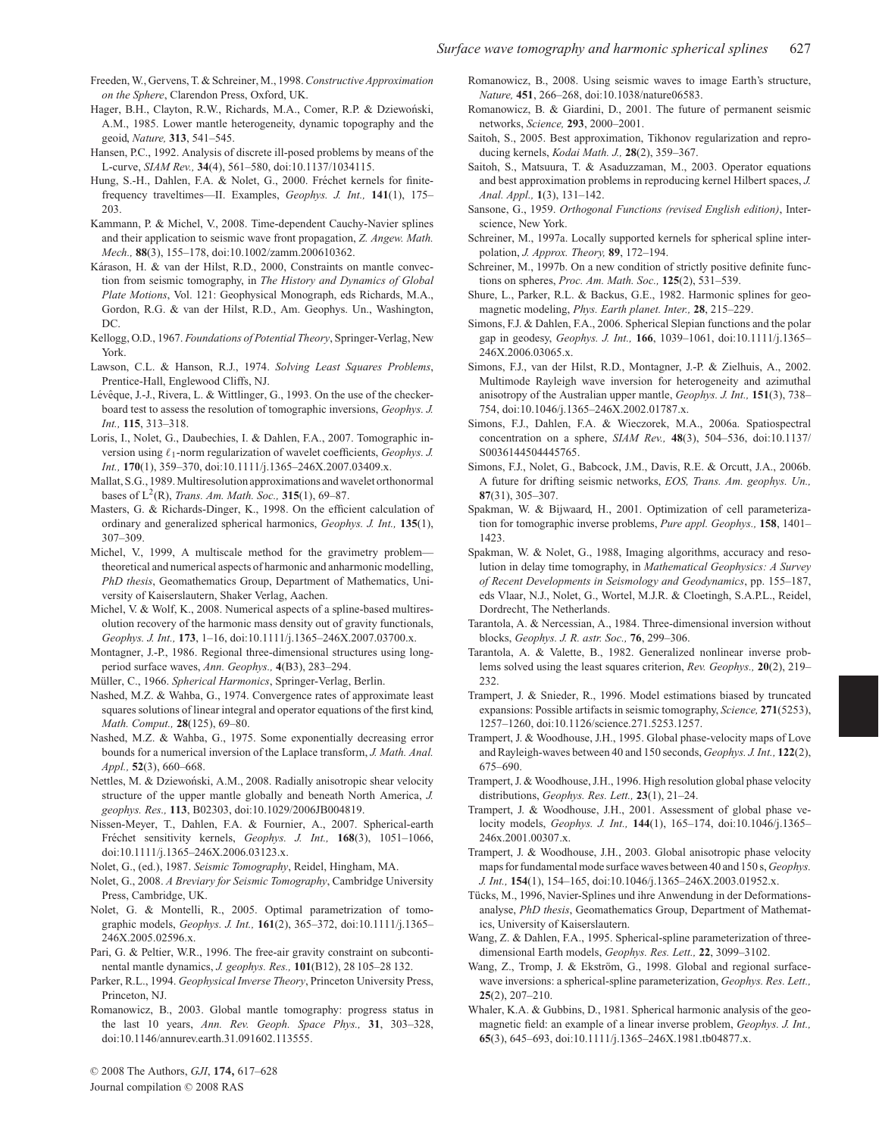- Freeden, W., Gervens, T. & Schreiner, M., 1998.*Constructive Approximation on the Sphere*, Clarendon Press, Oxford, UK.
- Hager, B.H., Clayton, R.W., Richards, M.A., Comer, R.P. & Dziewoński, A.M., 1985. Lower mantle heterogeneity, dynamic topography and the geoid, *Nature,* **313**, 541–545.
- Hansen, P.C., 1992. Analysis of discrete ill-posed problems by means of the L-curve, *SIAM Rev.,* **34**(4), 561–580, doi:10.1137/1034115.
- Hung, S.-H., Dahlen, F.A. & Nolet, G., 2000. Fréchet kernels for finitefrequency traveltimes—II. Examples, *Geophys. J. Int.,* **141**(1), 175– 203.
- Kammann, P. & Michel, V., 2008. Time-dependent Cauchy-Navier splines and their application to seismic wave front propagation, *Z. Angew. Math. Mech.,* **88**(3), 155–178, doi:10.1002/zamm.200610362.
- Kárason, H. & van der Hilst, R.D., 2000, Constraints on mantle convection from seismic tomography, in *The History and Dynamics of Global Plate Motions*, Vol. 121: Geophysical Monograph, eds Richards, M.A., Gordon, R.G. & van der Hilst, R.D., Am. Geophys. Un., Washington, DC.
- Kellogg, O.D., 1967. *Foundations of Potential Theory*, Springer-Verlag, New York.
- Lawson, C.L. & Hanson, R.J., 1974. *Solving Least Squares Problems*, Prentice-Hall, Englewood Cliffs, NJ.
- Lévêque, J.-J., Rivera, L. & Wittlinger, G., 1993. On the use of the checkerboard test to assess the resolution of tomographic inversions, *Geophys. J. Int.,* **115**, 313–318.
- Loris, I., Nolet, G., Daubechies, I. & Dahlen, F.A., 2007. Tomographic inversion using  $\ell_1$ -norm regularization of wavelet coefficients, *Geophys. J. Int.,* **170**(1), 359–370, doi:10.1111/j.1365–246X.2007.03409.x.
- Mallat, S.G., 1989. Multiresolution approximations and wavelet orthonormal bases of L2(R), *Trans. Am. Math. Soc.,* **315**(1), 69–87.
- Masters, G. & Richards-Dinger, K., 1998. On the efficient calculation of ordinary and generalized spherical harmonics, *Geophys. J. Int.,* **135**(1), 307–309.
- Michel, V., 1999, A multiscale method for the gravimetry problem theoretical and numerical aspects of harmonic and anharmonic modelling, *PhD thesis*, Geomathematics Group, Department of Mathematics, University of Kaiserslautern, Shaker Verlag, Aachen.
- Michel, V. & Wolf, K., 2008. Numerical aspects of a spline-based multiresolution recovery of the harmonic mass density out of gravity functionals, *Geophys. J. Int.,* **173**, 1–16, doi:10.1111/j.1365–246X.2007.03700.x.
- Montagner, J.-P., 1986. Regional three-dimensional structures using longperiod surface waves, *Ann. Geophys.,* **4**(B3), 283–294.
- Müller, C., 1966. *Spherical Harmonics*, Springer-Verlag, Berlin.
- Nashed, M.Z. & Wahba, G., 1974. Convergence rates of approximate least squares solutions of linear integral and operator equations of the first kind, *Math. Comput.,* **28**(125), 69–80.
- Nashed, M.Z. & Wahba, G., 1975. Some exponentially decreasing error bounds for a numerical inversion of the Laplace transform, *J. Math. Anal. Appl.,* **52**(3), 660–668.
- Nettles, M. & Dziewoński, A.M., 2008. Radially anisotropic shear velocity structure of the upper mantle globally and beneath North America, *J. geophys. Res.,* **113**, B02303, doi:10.1029/2006JB004819.
- Nissen-Meyer, T., Dahlen, F.A. & Fournier, A., 2007. Spherical-earth Fréchet sensitivity kernels, *Geophys. J. Int.*, **168**(3), **1051–1066**, doi:10.1111/j.1365–246X.2006.03123.x.
- Nolet, G., (ed.), 1987. *Seismic Tomography*, Reidel, Hingham, MA.
- Nolet, G., 2008. *A Breviary for Seismic Tomography*, Cambridge University Press, Cambridge, UK.
- Nolet, G. & Montelli, R., 2005. Optimal parametrization of tomographic models, *Geophys. J. Int.,* **161**(2), 365–372, doi:10.1111/j.1365– 246X.2005.02596.x.
- Pari, G. & Peltier, W.R., 1996. The free-air gravity constraint on subcontinental mantle dynamics, *J. geophys. Res.,* **101**(B12), 28 105–28 132.
- Parker, R.L., 1994. *Geophysical Inverse Theory*, Princeton University Press, Princeton, NJ.
- Romanowicz, B., 2003. Global mantle tomography: progress status in the last 10 years, *Ann. Rev. Geoph. Space Phys.,* **31**, 303–328, doi:10.1146/annurev.earth.31.091602.113555.

Romanowicz, B., 2008. Using seismic waves to image Earth's structure, *Nature,* **451**, 266–268, doi:10.1038/nature06583.

- Romanowicz, B. & Giardini, D., 2001. The future of permanent seismic networks, *Science,* **293**, 2000–2001.
- Saitoh, S., 2005. Best approximation, Tikhonov regularization and reproducing kernels, *Kodai Math. J.,* **28**(2), 359–367.
- Saitoh, S., Matsuura, T. & Asaduzzaman, M., 2003. Operator equations and best approximation problems in reproducing kernel Hilbert spaces, *J. Anal. Appl.,* **1**(3), 131–142.
- Sansone, G., 1959. *Orthogonal Functions (revised English edition)*, Interscience, New York.
- Schreiner, M., 1997a. Locally supported kernels for spherical spline interpolation, *J. Approx. Theory,* **89**, 172–194.
- Schreiner, M., 1997b. On a new condition of strictly positive definite functions on spheres, *Proc. Am. Math. Soc.,* **125**(2), 531–539.
- Shure, L., Parker, R.L. & Backus, G.E., 1982. Harmonic splines for geomagnetic modeling, *Phys. Earth planet. Inter.,* **28**, 215–229.
- Simons, F.J. & Dahlen, F.A., 2006. Spherical Slepian functions and the polar gap in geodesy, *Geophys. J. Int.,* **166**, 1039–1061, doi:10.1111/j.1365– 246X.2006.03065.x.
- Simons, F.J., van der Hilst, R.D., Montagner, J.-P. & Zielhuis, A., 2002. Multimode Rayleigh wave inversion for heterogeneity and azimuthal anisotropy of the Australian upper mantle, *Geophys. J. Int.,* **151**(3), 738– 754, doi:10.1046/j.1365–246X.2002.01787.x.
- Simons, F.J., Dahlen, F.A. & Wieczorek, M.A., 2006a. Spatiospectral concentration on a sphere, *SIAM Rev.,* **48**(3), 504–536, doi:10.1137/ S0036144504445765.
- Simons, F.J., Nolet, G., Babcock, J.M., Davis, R.E. & Orcutt, J.A., 2006b. A future for drifting seismic networks, *EOS, Trans. Am. geophys. Un.,* **87**(31), 305–307.
- Spakman, W. & Bijwaard, H., 2001. Optimization of cell parameterization for tomographic inverse problems, *Pure appl. Geophys.,* **158**, 1401– 1423.
- Spakman, W. & Nolet, G., 1988, Imaging algorithms, accuracy and resolution in delay time tomography, in *Mathematical Geophysics: A Survey of Recent Developments in Seismology and Geodynamics*, pp. 155–187, eds Vlaar, N.J., Nolet, G., Wortel, M.J.R. & Cloetingh, S.A.P.L., Reidel, Dordrecht, The Netherlands.
- Tarantola, A. & Nercessian, A., 1984. Three-dimensional inversion without blocks, *Geophys. J. R. astr. Soc.,* **76**, 299–306.
- Tarantola, A. & Valette, B., 1982. Generalized nonlinear inverse problems solved using the least squares criterion, *Rev. Geophys.,* **20**(2), 219– 232.
- Trampert, J. & Snieder, R., 1996. Model estimations biased by truncated expansions: Possible artifacts in seismic tomography, *Science,* **271**(5253), 1257–1260, doi:10.1126/science.271.5253.1257.
- Trampert, J. & Woodhouse, J.H., 1995. Global phase-velocity maps of Love and Rayleigh-waves between 40 and 150 seconds, *Geophys. J. Int.,* **122**(2), 675–690.
- Trampert, J. & Woodhouse, J.H., 1996. High resolution global phase velocity distributions, *Geophys. Res. Lett.,* **23**(1), 21–24.
- Trampert, J. & Woodhouse, J.H., 2001. Assessment of global phase velocity models, *Geophys. J. Int.,* **144**(1), 165–174, doi:10.1046/j.1365– 246x.2001.00307.x.
- Trampert, J. & Woodhouse, J.H., 2003. Global anisotropic phase velocity maps for fundamental mode surface waves between 40 and 150 s,*Geophys. J. Int.,* **154**(1), 154–165, doi:10.1046/j.1365–246X.2003.01952.x.
- Tücks, M., 1996, Navier-Splines und ihre Anwendung in der Deformationsanalyse, *PhD thesis*, Geomathematics Group, Department of Mathematics, University of Kaiserslautern.
- Wang, Z. & Dahlen, F.A., 1995. Spherical-spline parameterization of threedimensional Earth models, *Geophys. Res. Lett.,* **22**, 3099–3102.
- Wang, Z., Tromp, J. & Ekström, G., 1998. Global and regional surfacewave inversions: a spherical-spline parameterization, *Geophys. Res. Lett.,* **25**(2), 207–210.
- Whaler, K.A. & Gubbins, D., 1981. Spherical harmonic analysis of the geomagnetic field: an example of a linear inverse problem, *Geophys. J. Int.,* **65**(3), 645–693, doi:10.1111/j.1365–246X.1981.tb04877.x.